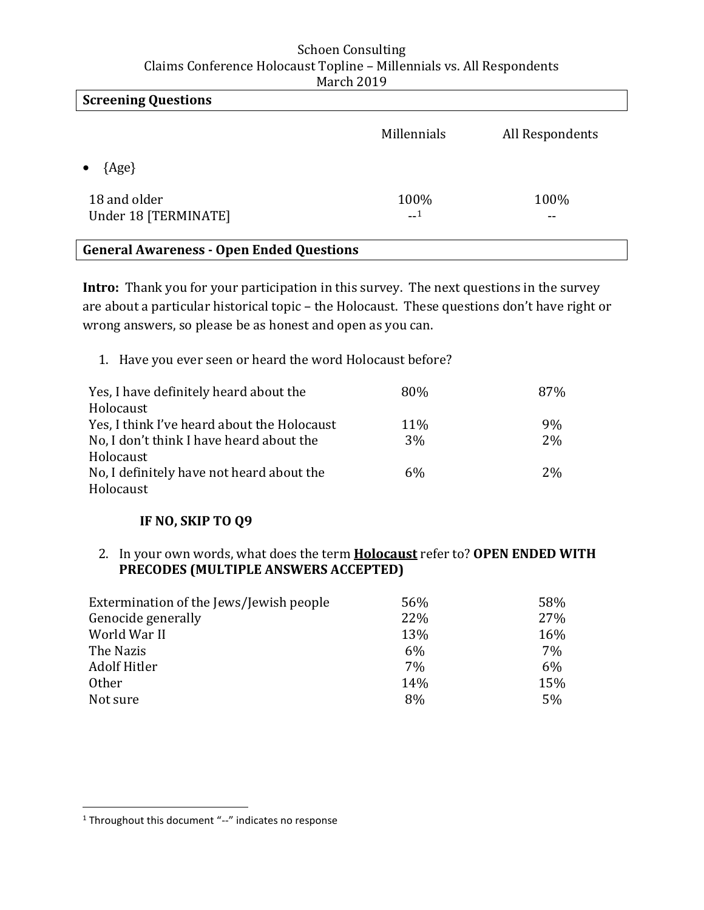| <b>Screening Questions</b>                      |              |                 |
|-------------------------------------------------|--------------|-----------------|
|                                                 | Millennials  | All Respondents |
| $\{Age\}$                                       |              |                 |
| 18 and older<br>Under 18 [TERMINATE]            | 100%<br>$-1$ | 100%<br>--      |
| <b>General Awareness - Open Ended Questions</b> |              |                 |

**Intro:** Thank you for your participation in this survey. The next questions in the survey are about a particular historical topic – the Holocaust. These questions don't have right or wrong answers, so please be as honest and open as you can.

1. Have you ever seen or heard the word Holocaust before?

| Yes, I have definitely heard about the      | 80%   | 87%       |
|---------------------------------------------|-------|-----------|
| Holocaust                                   |       |           |
| Yes, I think I've heard about the Holocaust | 11%   | 9%        |
| No, I don't think I have heard about the    | 3%    | 2%        |
| Holocaust                                   |       |           |
| No, I definitely have not heard about the   | $6\%$ | <b>2%</b> |
| Holocaust                                   |       |           |

# **IF NO, SKIP TO Q9**

2. In your own words, what does the term **Holocaust** refer to? **OPEN ENDED WITH PRECODES (MULTIPLE ANSWERS ACCEPTED)** 

| Extermination of the Jews/Jewish people | 56% | 58% |
|-----------------------------------------|-----|-----|
| Genocide generally                      | 22% | 27% |
| World War II                            | 13% | 16% |
| The Nazis                               | 6%  | 7%  |
| Adolf Hitler                            | 7%  | 6%  |
| <b>Other</b>                            | 14% | 15% |
| Not sure                                | 8%  | 5%  |

 $\overline{\phantom{a}}$ 

<sup>&</sup>lt;sup>1</sup> Throughout this document "--" indicates no response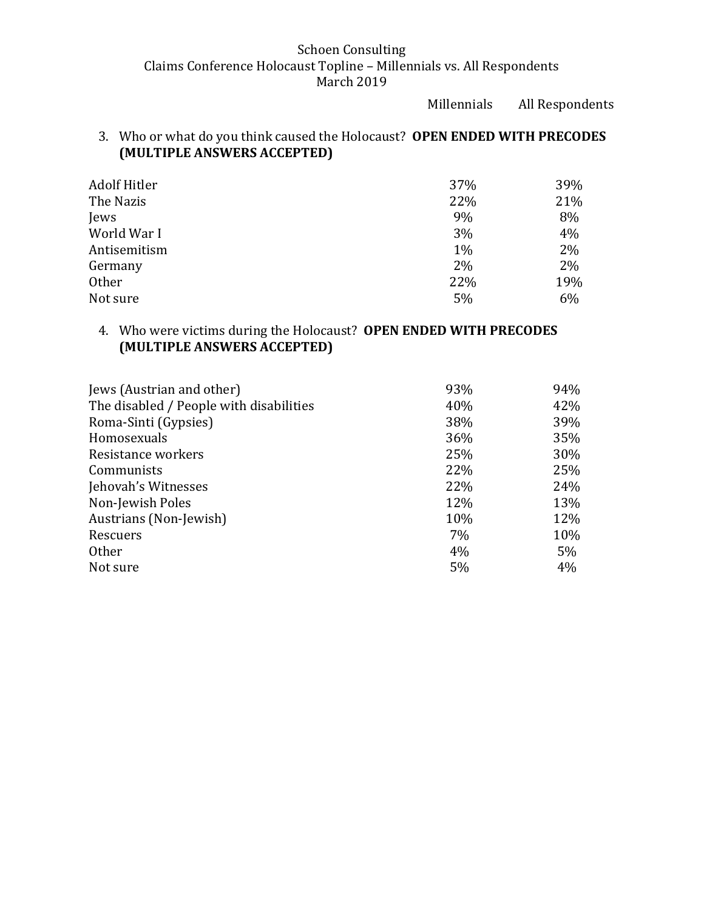Millennials All Respondents

# 3. Who or what do you think caused the Holocaust? **OPEN ENDED WITH PRECODES (MULTIPLE ANSWERS ACCEPTED)**

| Adolf Hitler | 37%   | 39% |
|--------------|-------|-----|
| The Nazis    | 22%   | 21% |
| Jews         | 9%    | 8%  |
| World War I  | 3%    | 4%  |
| Antisemitism | $1\%$ | 2%  |
| Germany      | 2%    | 2%  |
| Other        | 22%   | 19% |
| Not sure     | 5%    | 6%  |

# 4. Who were victims during the Holocaust? **OPEN ENDED WITH PRECODES (MULTIPLE ANSWERS ACCEPTED)**

| Jews (Austrian and other)               | 93%   | 94%   |
|-----------------------------------------|-------|-------|
| The disabled / People with disabilities | 40%   | 42%   |
| Roma-Sinti (Gypsies)                    | 38%   | 39%   |
| Homosexuals                             | 36%   | 35%   |
| Resistance workers                      | 25%   | 30%   |
| Communists                              | 22%   | 25%   |
| Jehovah's Witnesses                     | 22%   | 24%   |
| Non-Jewish Poles                        | 12%   | 13%   |
| Austrians (Non-Jewish)                  | 10%   | 12%   |
| Rescuers                                | $7\%$ | 10%   |
| <b>Other</b>                            | 4%    | $5\%$ |
| Not sure                                | 5%    | 4%    |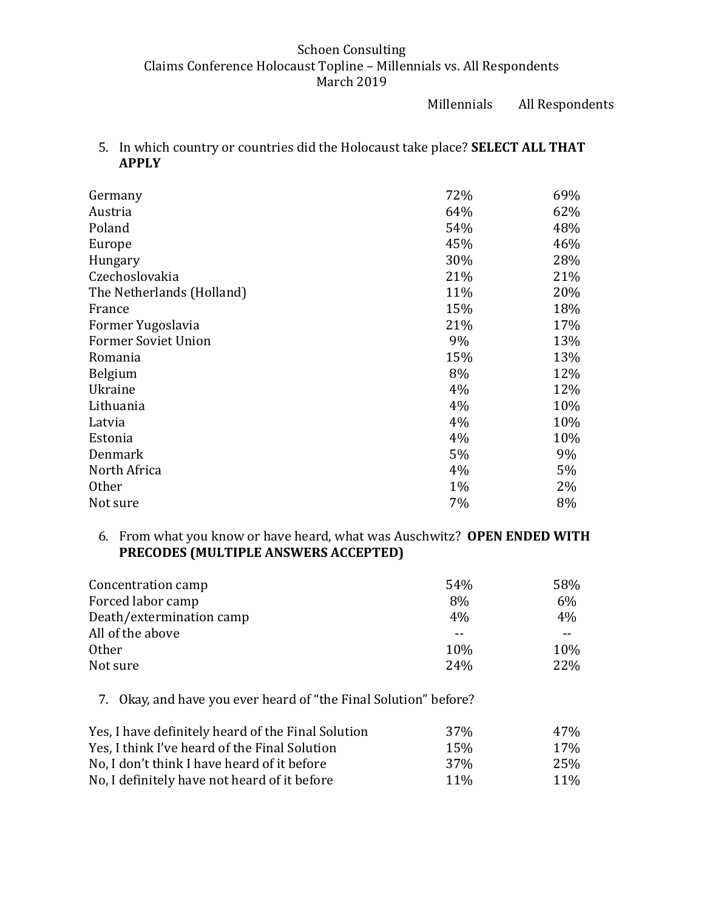Millennials All Respondents

5. In which country or countries did the Holocaust take place? **SELECT ALL THAT APPLY**

| Germany                    | 72%   | 69% |
|----------------------------|-------|-----|
| Austria                    | 64%   | 62% |
| Poland                     | 54%   | 48% |
| Europe                     | 45%   | 46% |
| Hungary                    | 30%   | 28% |
| Czechoslovakia             | 21%   | 21% |
| The Netherlands (Holland)  | 11%   | 20% |
| France                     | 15%   | 18% |
| Former Yugoslavia          | 21%   | 17% |
| <b>Former Soviet Union</b> | 9%    | 13% |
| Romania                    | 15%   | 13% |
| <b>Belgium</b>             | 8%    | 12% |
| Ukraine                    | 4%    | 12% |
| Lithuania                  | 4%    | 10% |
| Latvia                     | 4%    | 10% |
| Estonia                    | 4%    | 10% |
| Denmark                    | 5%    | 9%  |
| North Africa               | 4%    | 5%  |
| <b>Other</b>               | $1\%$ | 2%  |
| Not sure                   | 7%    | 8%  |

## 6. From what you know or have heard, what was Auschwitz? **OPEN ENDED WITH PRECODES (MULTIPLE ANSWERS ACCEPTED)**

| Concentration camp       | 54%        | 58% |
|--------------------------|------------|-----|
| Forced labor camp        | 8%         | 6%  |
| Death/extermination camp | 4%         | 4%  |
| All of the above         | --         |     |
| <b>Other</b>             | 10%        | 10% |
| Not sure                 | <b>24%</b> | 22% |

7. Okay, and have you ever heard of "the Final Solution" before?

| Yes, I have definitely heard of the Final Solution | 37 <sub>%</sub> | 47%             |
|----------------------------------------------------|-----------------|-----------------|
| Yes, I think I've heard of the Final Solution      | 15 <sub>%</sub> | 17 <sub>%</sub> |
| No. I don't think I have heard of it before        | 37 <sub>%</sub> | 25%             |
| No, I definitely have not heard of it before       | $11\%$          | $11\%$          |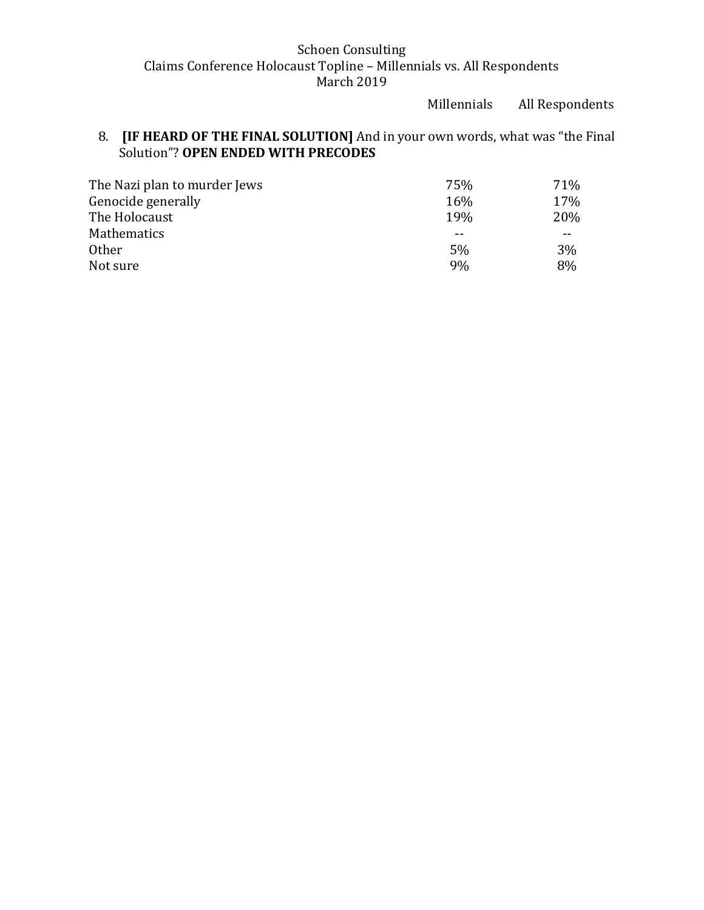Millennials All Respondents

# 8. **[IF HEARD OF THE FINAL SOLUTION]** And in your own words, what was "the Final Solution"? **OPEN ENDED WITH PRECODES**

| 75%        | 71%        |
|------------|------------|
| 16%        | 17%        |
| <b>19%</b> | <b>20%</b> |
|            | $- -$      |
| 5%         | 3%         |
| 9%         | 8%         |
|            |            |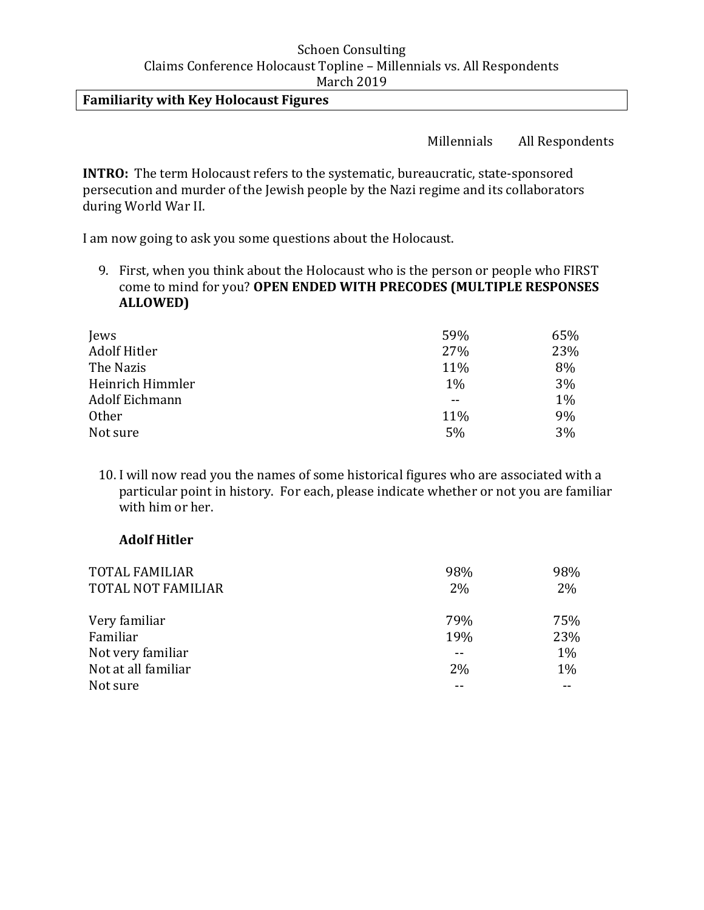## **Familiarity with Key Holocaust Figures**

Millennials All Respondents

**INTRO:** The term Holocaust refers to the systematic, bureaucratic, state-sponsored persecution and murder of the Jewish people by the Nazi regime and its collaborators during World War II.

I am now going to ask you some questions about the Holocaust.

9. First, when you think about the Holocaust who is the person or people who FIRST come to mind for you? **OPEN ENDED WITH PRECODES (MULTIPLE RESPONSES ALLOWED)**

| Jews             | 59%   | 65% |
|------------------|-------|-----|
| Adolf Hitler     | 27%   | 23% |
| The Nazis        | 11%   | 8%  |
| Heinrich Himmler | $1\%$ | 3%  |
| Adolf Eichmann   |       | 1%  |
| <b>Other</b>     | 11%   | 9%  |
| Not sure         | 5%    | 3%  |

10. I will now read you the names of some historical figures who are associated with a particular point in history. For each, please indicate whether or not you are familiar with him or her.

### **Adolf Hitler**

| <b>TOTAL FAMILIAR</b> | 98%   | 98% |
|-----------------------|-------|-----|
| TOTAL NOT FAMILIAR    | $2\%$ | 2%  |
|                       |       |     |
| Very familiar         | 79%   | 75% |
| Familiar              | 19%   | 23% |
| Not very familiar     |       | 1%  |
| Not at all familiar   | 2%    | 1%  |
| Not sure              |       |     |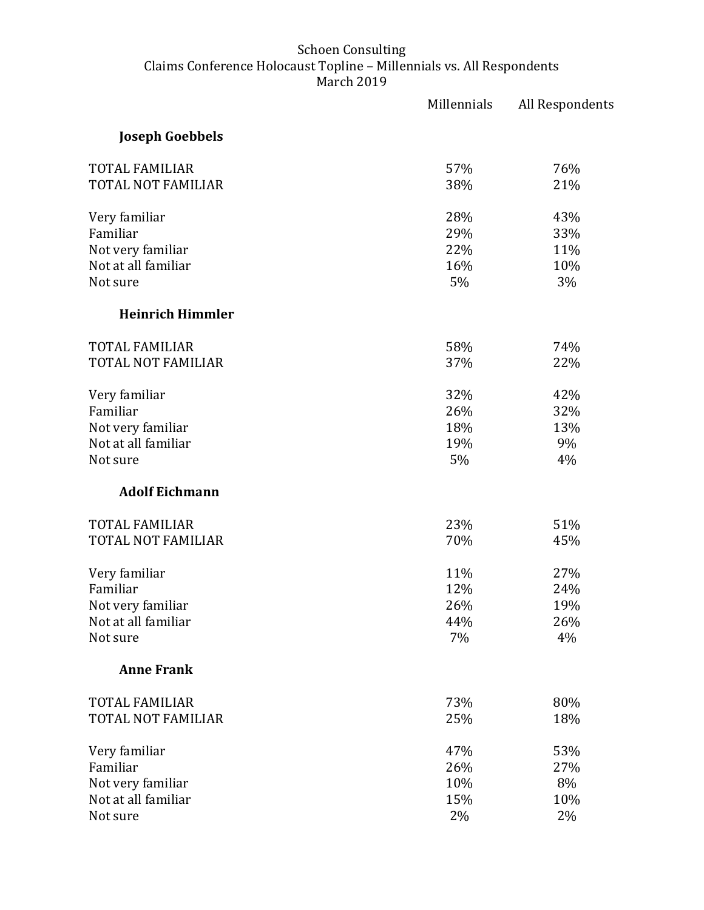|                           | Millennials | All Respondents |
|---------------------------|-------------|-----------------|
| <b>Joseph Goebbels</b>    |             |                 |
| <b>TOTAL FAMILIAR</b>     | 57%         | 76%             |
| TOTAL NOT FAMILIAR        | 38%         | 21%             |
| Very familiar             | 28%         | 43%             |
| Familiar                  | 29%         | 33%             |
| Not very familiar         | 22%         | 11%             |
| Not at all familiar       | 16%         | 10%             |
| Not sure                  | 5%          | 3%              |
| <b>Heinrich Himmler</b>   |             |                 |
| <b>TOTAL FAMILIAR</b>     | 58%         | 74%             |
| <b>TOTAL NOT FAMILIAR</b> | 37%         | 22%             |
| Very familiar             | 32%         | 42%             |
| Familiar                  | 26%         | 32%             |
| Not very familiar         | 18%         | 13%             |
| Not at all familiar       | 19%         | 9%              |
| Not sure                  | 5%          | 4%              |
| <b>Adolf Eichmann</b>     |             |                 |
| <b>TOTAL FAMILIAR</b>     | 23%         | 51%             |
| <b>TOTAL NOT FAMILIAR</b> | 70%         | 45%             |
| Very familiar             | 11%         | 27%             |
| Familiar                  | 12%         | 24%             |
| Not very familiar         | 26%         | 19%             |
| Not at all familiar       | 44%         | 26%             |
| Not sure                  | 7%          | 4%              |
| <b>Anne Frank</b>         |             |                 |
| <b>TOTAL FAMILIAR</b>     | 73%         | 80%             |
| TOTAL NOT FAMILIAR        | 25%         | 18%             |
| Very familiar             | 47%         | 53%             |
| Familiar                  | 26%         | 27%             |
| Not very familiar         | 10%         | 8%              |
| Not at all familiar       | 15%         | 10%             |
| Not sure                  | 2%          | 2%              |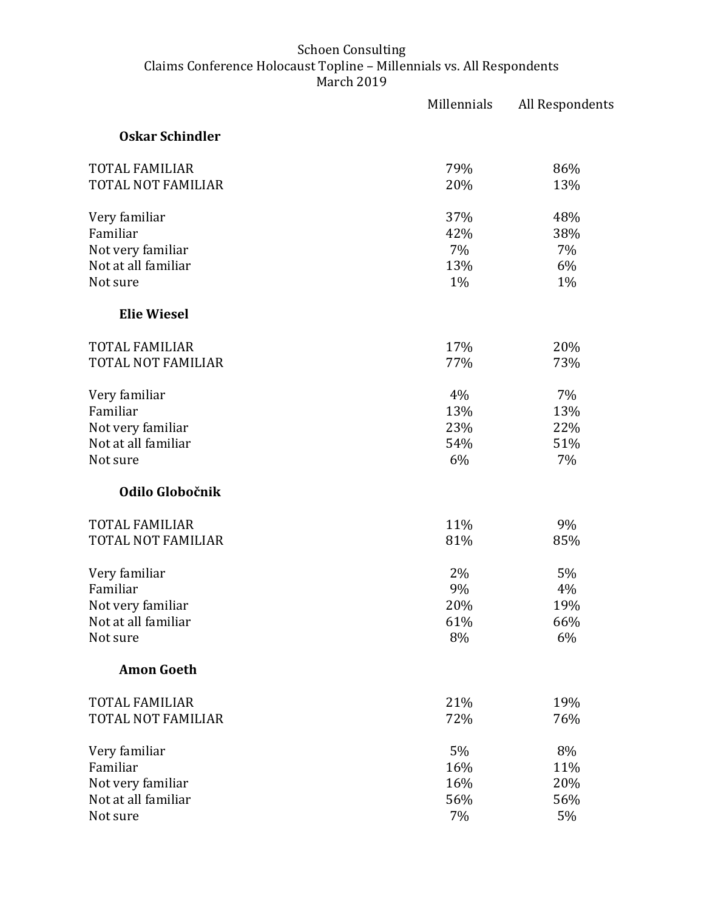|                        | Millennials | All Respondents |
|------------------------|-------------|-----------------|
| <b>Oskar Schindler</b> |             |                 |
| <b>TOTAL FAMILIAR</b>  | 79%         | 86%             |
| TOTAL NOT FAMILIAR     | 20%         | 13%             |
| Very familiar          | 37%         | 48%             |
| Familiar               | 42%         | 38%             |
| Not very familiar      | 7%          | 7%              |
| Not at all familiar    | 13%         | 6%              |
| Not sure               | 1%          | 1%              |
| <b>Elie Wiesel</b>     |             |                 |
| <b>TOTAL FAMILIAR</b>  | 17%         | 20%             |
| TOTAL NOT FAMILIAR     | 77%         | 73%             |
| Very familiar          | 4%          | 7%              |
| Familiar               | 13%         | 13%             |
| Not very familiar      | 23%         | 22%             |
| Not at all familiar    | 54%         | 51%             |
| Not sure               | 6%          | 7%              |
| Odilo Globočnik        |             |                 |
| <b>TOTAL FAMILIAR</b>  | 11%         | 9%              |
| TOTAL NOT FAMILIAR     | 81%         | 85%             |
| Very familiar          | 2%          | 5%              |
| Familiar               | 9%          | 4%              |
| Not very familiar      | 20%         | 19%             |
| Not at all familiar    | 61%         | 66%             |
| Not sure               | 8%          | 6%              |
| <b>Amon Goeth</b>      |             |                 |
| <b>TOTAL FAMILIAR</b>  | 21%         | 19%             |
| TOTAL NOT FAMILIAR     | 72%         | 76%             |
| Very familiar          | 5%          | 8%              |
| Familiar               | 16%         | 11%             |
| Not very familiar      | 16%         | 20%             |
| Not at all familiar    | 56%         | 56%             |
| Not sure               | 7%          | 5%              |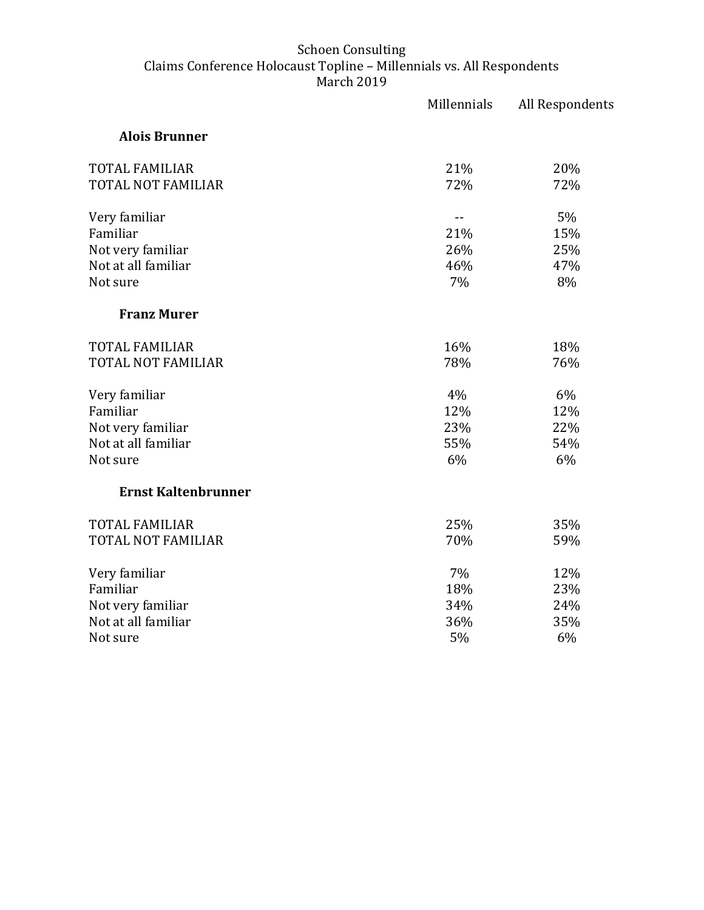|                            | Millennials | All Respondents |
|----------------------------|-------------|-----------------|
| <b>Alois Brunner</b>       |             |                 |
| TOTAL FAMILIAR             | 21%         | 20%             |
| TOTAL NOT FAMILIAR         | 72%         | 72%             |
| Very familiar              | $-$         | 5%              |
| Familiar                   | 21%         | 15%             |
| Not very familiar          | 26%         | 25%             |
| Not at all familiar        | 46%         | 47%             |
| Not sure                   | 7%          | 8%              |
| <b>Franz Murer</b>         |             |                 |
| <b>TOTAL FAMILIAR</b>      | 16%         | 18%             |
| <b>TOTAL NOT FAMILIAR</b>  | 78%         | 76%             |
| Very familiar              | 4%          | 6%              |
| Familiar                   | 12%         | 12%             |
| Not very familiar          | 23%         | 22%             |
| Not at all familiar        | 55%         | 54%             |
| Not sure                   | 6%          | 6%              |
| <b>Ernst Kaltenbrunner</b> |             |                 |
| <b>TOTAL FAMILIAR</b>      | 25%         | 35%             |
| TOTAL NOT FAMILIAR         | 70%         | 59%             |
| Very familiar              | 7%          | 12%             |
| Familiar                   | 18%         | 23%             |
| Not very familiar          | 34%         | 24%             |
| Not at all familiar        | 36%         | 35%             |
| Not sure                   | 5%          | 6%              |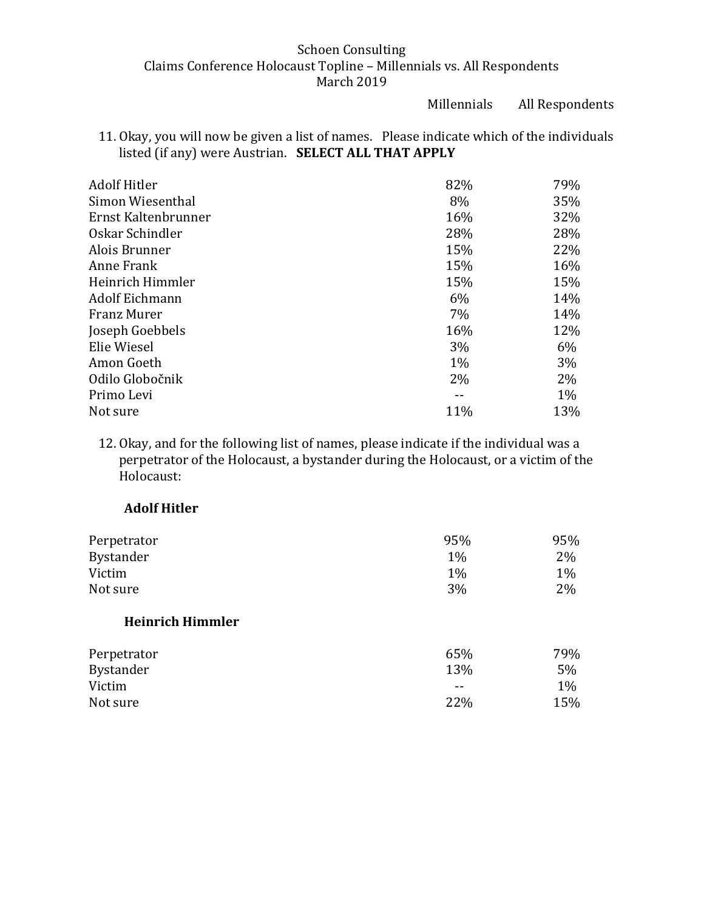Millennials All Respondents

11. Okay, you will now be given a list of names. Please indicate which of the individuals listed (if any) were Austrian. **SELECT ALL THAT APPLY** 

| <b>Adolf Hitler</b> | 82%   | 79%   |
|---------------------|-------|-------|
| Simon Wiesenthal    | 8%    | 35%   |
| Ernst Kaltenbrunner | 16%   | 32%   |
| Oskar Schindler     | 28%   | 28%   |
| Alois Brunner       | 15%   | 22%   |
| Anne Frank          | 15%   | 16%   |
| Heinrich Himmler    | 15%   | 15%   |
| Adolf Eichmann      | 6%    | 14%   |
| Franz Murer         | $7\%$ | 14%   |
| Joseph Goebbels     | 16%   | 12%   |
| Elie Wiesel         | $3\%$ | 6%    |
| Amon Goeth          | $1\%$ | 3%    |
| Odilo Globočnik     | $2\%$ | 2%    |
| Primo Levi          |       | $1\%$ |
| Not sure            | 11%   | 13%   |

12. Okay, and for the following list of names, please indicate if the individual was a perpetrator of the Holocaust, a bystander during the Holocaust, or a victim of the Holocaust:

## **Adolf Hitler**

| Perpetrator             | 95%   | 95%   |
|-------------------------|-------|-------|
| <b>Bystander</b>        | $1\%$ | 2%    |
| Victim                  | $1\%$ | $1\%$ |
| Not sure                | 3%    | 2%    |
| <b>Heinrich Himmler</b> |       |       |
| Perpetrator             | 65%   | 79%   |
| <b>Bystander</b>        | 13%   | 5%    |
| Victim                  |       | $1\%$ |
| Not sure                | 22%   | 15%   |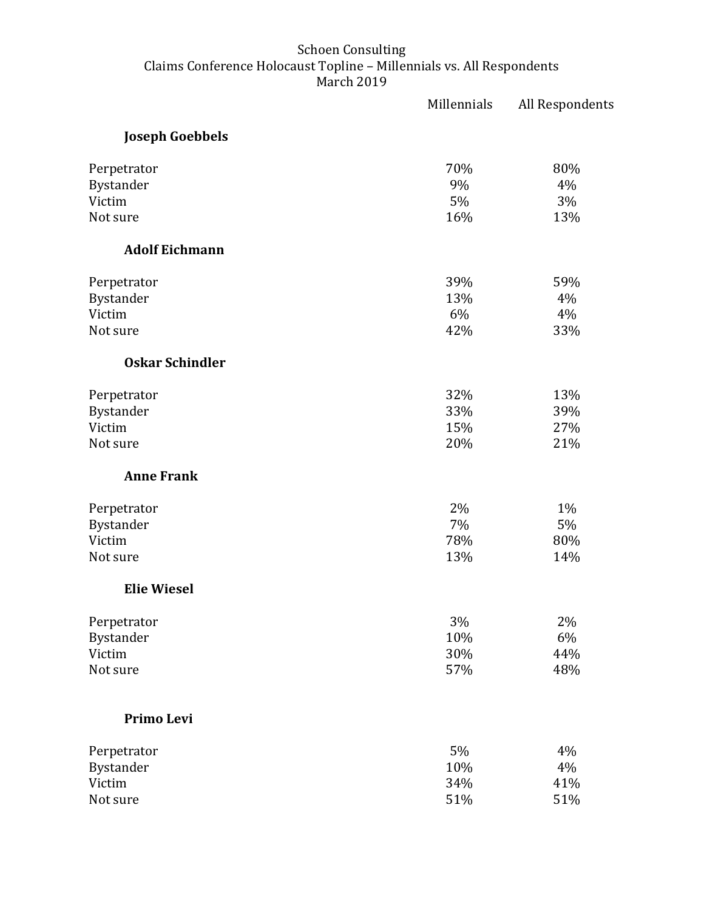|                        | Millennials | All Respondents |
|------------------------|-------------|-----------------|
| <b>Joseph Goebbels</b> |             |                 |
| Perpetrator            | 70%         | 80%             |
| Bystander              | 9%          | 4%              |
| Victim                 | 5%          | 3%              |
| Not sure               | 16%         | 13%             |
| <b>Adolf Eichmann</b>  |             |                 |
| Perpetrator            | 39%         | 59%             |
| Bystander              | 13%         | 4%              |
| Victim                 | 6%          | 4%              |
| Not sure               | 42%         | 33%             |
| <b>Oskar Schindler</b> |             |                 |
| Perpetrator            | 32%         | 13%             |
| Bystander              | 33%         | 39%             |
| Victim                 | 15%         | 27%             |
| Not sure               | 20%         | 21%             |
| <b>Anne Frank</b>      |             |                 |
| Perpetrator            | 2%          | 1%              |
| Bystander              | 7%          | 5%              |
| Victim                 | 78%         | 80%             |
| Not sure               | 13%         | 14%             |
| <b>Elie Wiesel</b>     |             |                 |
| Perpetrator            | 3%          | 2%              |
| Bystander              | 10%         | 6%              |
| Victim                 | 30%         | 44%             |
| Not sure               | 57%         | 48%             |
| Primo Levi             |             |                 |
| Perpetrator            | 5%          | 4%              |
| Bystander              | 10%         | 4%              |
| Victim                 | 34%         | 41%             |
| Not sure               | 51%         | 51%             |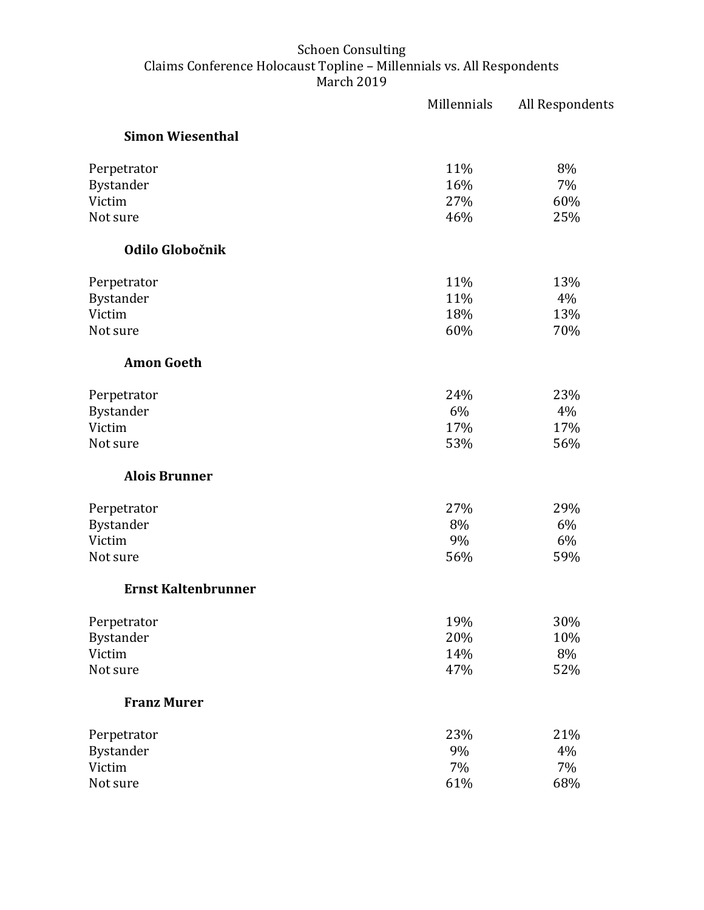|                            | Millennials | All Respondents |
|----------------------------|-------------|-----------------|
| <b>Simon Wiesenthal</b>    |             |                 |
| Perpetrator                | 11%         | 8%              |
| Bystander                  | 16%         | 7%              |
| Victim                     | 27%         | 60%             |
| Not sure                   | 46%         | 25%             |
| Odilo Globočnik            |             |                 |
| Perpetrator                | 11%         | 13%             |
| Bystander                  | 11%         | 4%              |
| Victim                     | 18%         | 13%             |
| Not sure                   | 60%         | 70%             |
| <b>Amon Goeth</b>          |             |                 |
| Perpetrator                | 24%         | 23%             |
| Bystander                  | 6%          | 4%              |
| Victim                     | 17%         | 17%             |
| Not sure                   | 53%         | 56%             |
| <b>Alois Brunner</b>       |             |                 |
| Perpetrator                | 27%         | 29%             |
| Bystander                  | 8%          | 6%              |
| Victim                     | 9%          | 6%              |
| Not sure                   | 56%         | 59%             |
| <b>Ernst Kaltenbrunner</b> |             |                 |
| Perpetrator                | 19%         | 30%             |
| Bystander                  | 20%         | 10%             |
| Victim                     | 14%         | 8%              |
| Not sure                   | 47%         | 52%             |
| <b>Franz Murer</b>         |             |                 |
| Perpetrator                | 23%         | 21%             |
| Bystander                  | 9%          | 4%              |
| Victim                     | 7%          | 7%              |
| Not sure                   | 61%         | 68%             |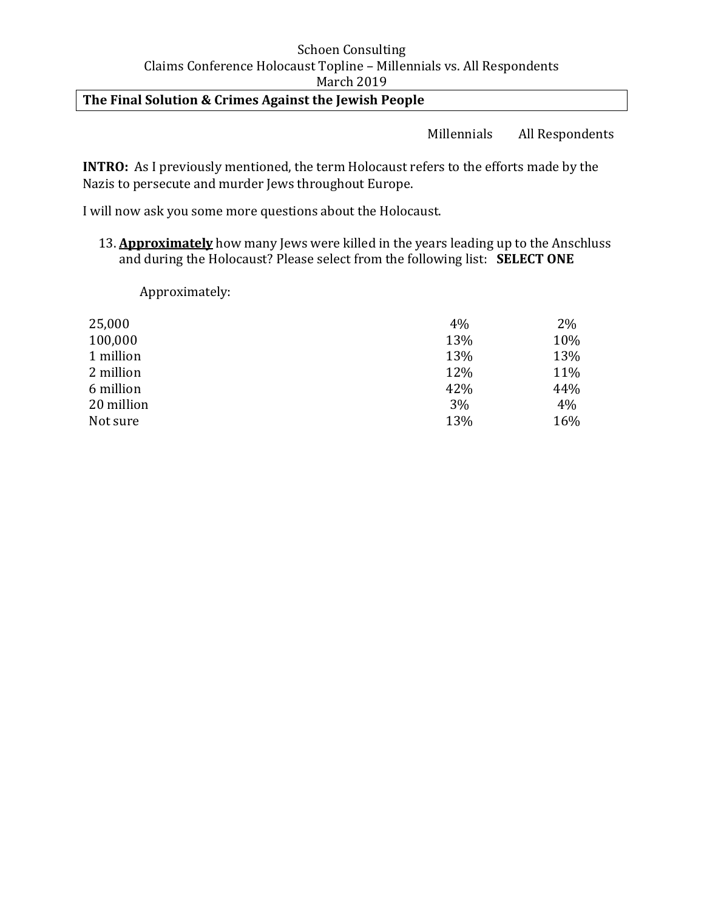# **The Final Solution & Crimes Against the Jewish People**

Millennials All Respondents

**INTRO:** As I previously mentioned, the term Holocaust refers to the efforts made by the Nazis to persecute and murder Jews throughout Europe.

I will now ask you some more questions about the Holocaust.

13. **Approximately** how many Jews were killed in the years leading up to the Anschluss and during the Holocaust? Please select from the following list: **SELECT ONE**

Approximately:

| 25,000     | 4%  | 2%  |
|------------|-----|-----|
| 100,000    | 13% | 10% |
| 1 million  | 13% | 13% |
| 2 million  | 12% | 11% |
| 6 million  | 42% | 44% |
| 20 million | 3%  | 4%  |
| Not sure   | 13% | 16% |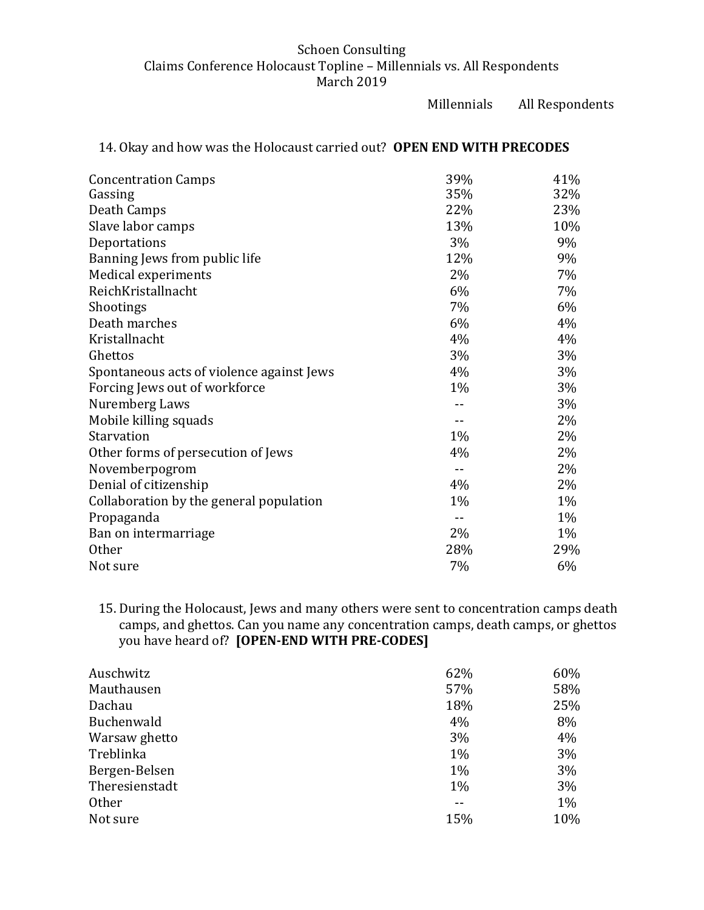Millennials All Respondents

| <b>Concentration Camps</b>                | 39%   | 41%   |
|-------------------------------------------|-------|-------|
| Gassing                                   | 35%   | 32%   |
| Death Camps                               | 22%   | 23%   |
| Slave labor camps                         | 13%   | 10%   |
| Deportations                              | 3%    | 9%    |
| Banning Jews from public life             | 12%   | 9%    |
| Medical experiments                       | 2%    | 7%    |
| ReichKristallnacht                        | 6%    | 7%    |
| Shootings                                 | 7%    | 6%    |
| Death marches                             | 6%    | 4%    |
| Kristallnacht                             | 4%    | 4%    |
| Ghettos                                   | 3%    | 3%    |
| Spontaneous acts of violence against Jews | 4%    | 3%    |
| Forcing Jews out of workforce             | $1\%$ | $3\%$ |
| Nuremberg Laws                            |       | 3%    |
| Mobile killing squads                     |       | 2%    |
| Starvation                                | 1%    | 2%    |
| Other forms of persecution of Jews        | 4%    | 2%    |
| Novemberpogrom                            | $-$   | 2%    |
| Denial of citizenship                     | 4%    | 2%    |
| Collaboration by the general population   | $1\%$ | 1%    |
| Propaganda                                |       | $1\%$ |
| Ban on intermarriage                      | 2%    | 1%    |
| <b>Other</b>                              | 28%   | 29%   |
| Not sure                                  | 7%    | 6%    |

## 14. Okay and how was the Holocaust carried out? **OPEN END WITH PRECODES**

15. During the Holocaust, Jews and many others were sent to concentration camps death camps, and ghettos. Can you name any concentration camps, death camps, or ghettos you have heard of? **[OPEN-END WITH PRE-CODES]** 

| Auschwitz      | 62%   | 60% |
|----------------|-------|-----|
| Mauthausen     | 57%   | 58% |
| Dachau         | 18%   | 25% |
| Buchenwald     | 4%    | 8%  |
| Warsaw ghetto  | 3%    | 4%  |
| Treblinka      | $1\%$ | 3%  |
| Bergen-Belsen  | $1\%$ | 3%  |
| Theresienstadt | 1%    | 3%  |
| <b>Other</b>   |       | 1%  |
| Not sure       | 15%   | 10% |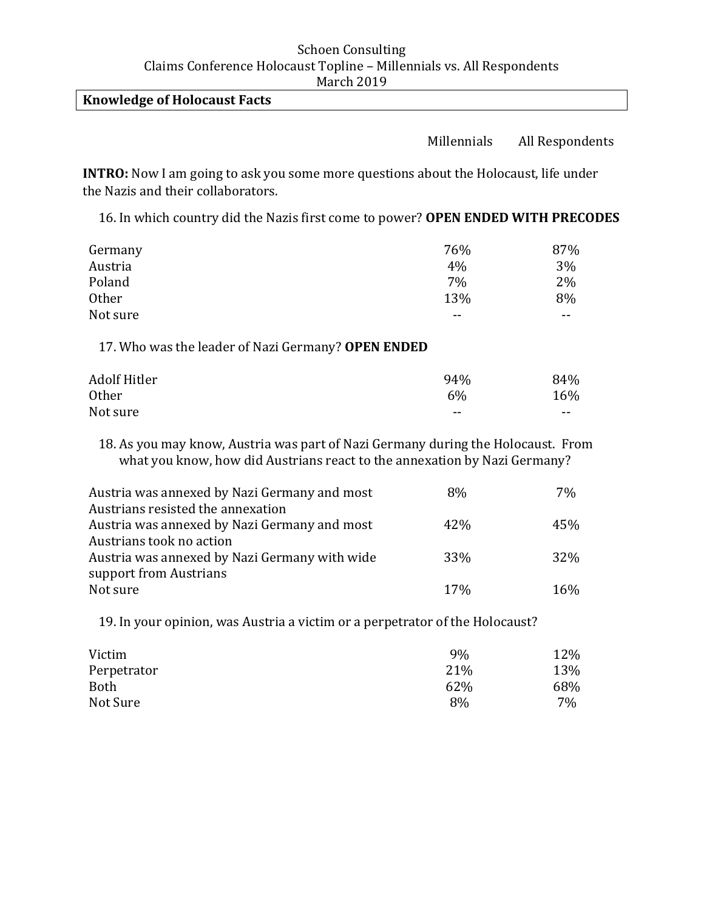### **Knowledge of Holocaust Facts**

## Millennials All Respondents

**INTRO:** Now I am going to ask you some more questions about the Holocaust, life under the Nazis and their collaborators.

16. In which country did the Nazis first come to power? **OPEN ENDED WITH PRECODES**

| Germany      | 76%   | 87%   |
|--------------|-------|-------|
| Austria      | $4\%$ | 3%    |
| Poland       | 7%    | $2\%$ |
| <b>Other</b> | 13%   | 8%    |
| Not sure     | --    | $- -$ |

17. Who was the leader of Nazi Germany? **OPEN ENDED**

| Adolf Hitler | 94%                      | 84%   |
|--------------|--------------------------|-------|
| <b>Other</b> | 6%                       | 16%   |
| Not sure     | $\overline{\phantom{m}}$ | $- -$ |

18. As you may know, Austria was part of Nazi Germany during the Holocaust. From what you know, how did Austrians react to the annexation by Nazi Germany?

| Austria was annexed by Nazi Germany and most  | 8%              | 7%  |
|-----------------------------------------------|-----------------|-----|
| Austrians resisted the annexation             |                 |     |
| Austria was annexed by Nazi Germany and most  | 42%             | 45% |
| Austrians took no action                      |                 |     |
| Austria was annexed by Nazi Germany with wide | 33%             | 32% |
| support from Austrians                        |                 |     |
| Not sure                                      | 17 <sub>%</sub> | 16% |

19. In your opinion, was Austria a victim or a perpetrator of the Holocaust?

| Victim      | 9%  | 12% |
|-------------|-----|-----|
| Perpetrator | 21% | 13% |
| <b>Both</b> | 62% | 68% |
| Not Sure    | 8%  | 7%  |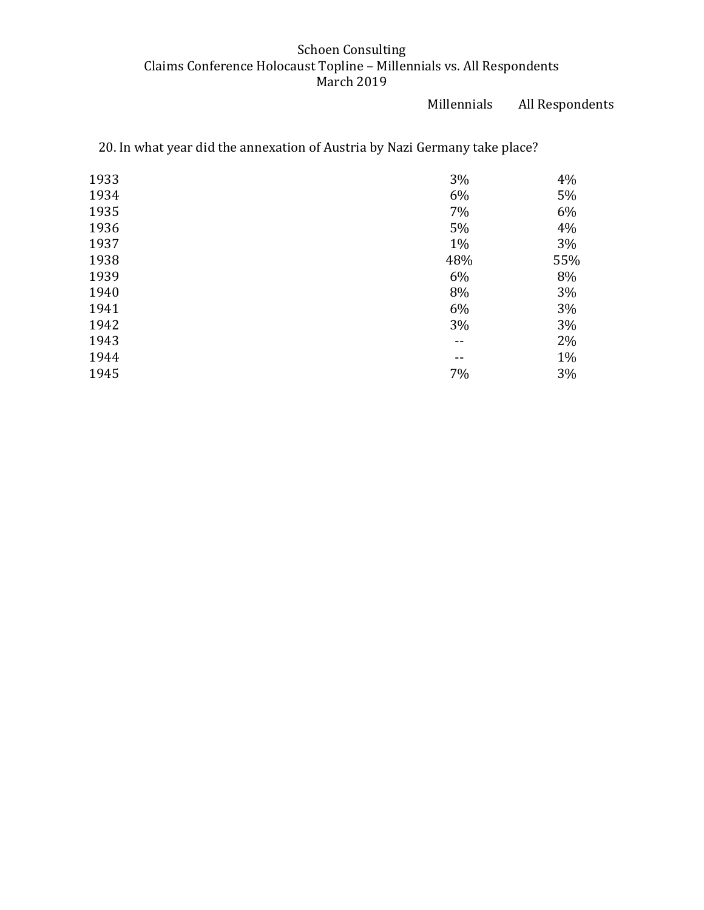Millennials All Respondents

| 1933 | 3%    | 4%  |
|------|-------|-----|
| 1934 | 6%    | 5%  |
| 1935 | 7%    | 6%  |
| 1936 | 5%    | 4%  |
| 1937 | 1%    | 3%  |
| 1938 | 48%   | 55% |
| 1939 | 6%    | 8%  |
| 1940 | 8%    | 3%  |
| 1941 | 6%    | 3%  |
| 1942 | 3%    | 3%  |
| 1943 | --    | 2%  |
| 1944 | $- -$ | 1%  |
| 1945 | 7%    | 3%  |
|      |       |     |

20. In what year did the annexation of Austria by Nazi Germany take place?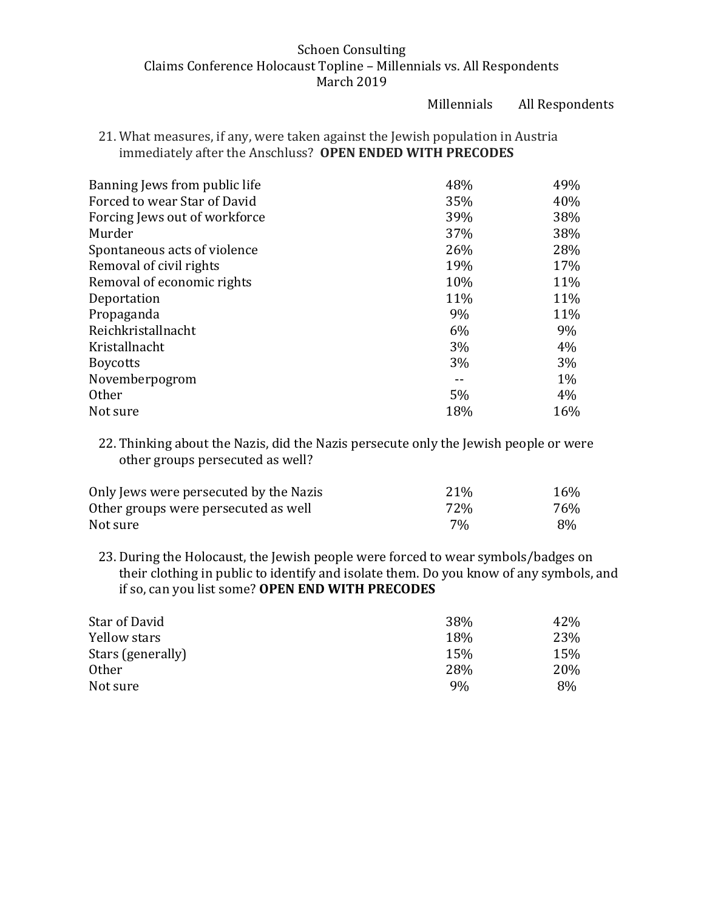Millennials All Respondents

21. What measures, if any, were taken against the Jewish population in Austria immediately after the Anschluss? **OPEN ENDED WITH PRECODES** 

| Banning Jews from public life | 48%   | 49%   |
|-------------------------------|-------|-------|
| Forced to wear Star of David  | 35%   | 40%   |
| Forcing Jews out of workforce | 39%   | 38%   |
| Murder                        | 37%   | 38%   |
| Spontaneous acts of violence  | 26%   | 28%   |
| Removal of civil rights       | 19%   | 17%   |
| Removal of economic rights    | 10%   | 11%   |
| Deportation                   | 11%   | 11%   |
| Propaganda                    | 9%    | 11%   |
| Reichkristallnacht            | 6%    | 9%    |
| Kristallnacht                 | 3%    | 4%    |
| <b>Boycotts</b>               | $3\%$ | 3%    |
| Novemberpogrom                |       | $1\%$ |
| <b>Other</b>                  | 5%    | 4%    |
| Not sure                      | 18%   | 16%   |

22. Thinking about the Nazis, did the Nazis persecute only the Jewish people or were other groups persecuted as well?

| Only Jews were persecuted by the Nazis | 21% | 16% |
|----------------------------------------|-----|-----|
| Other groups were persecuted as well   | 72% | 76% |
| Not sure                               | 7%  | 8%  |

23. During the Holocaust, the Jewish people were forced to wear symbols/badges on their clothing in public to identify and isolate them. Do you know of any symbols, and if so, can you list some? **OPEN END WITH PRECODES**

| Star of David     | 38% | 42% |
|-------------------|-----|-----|
| Yellow stars      | 18% | 23% |
| Stars (generally) | 15% | 15% |
| <b>Other</b>      | 28% | 20% |
| Not sure          | 9%  | 8%  |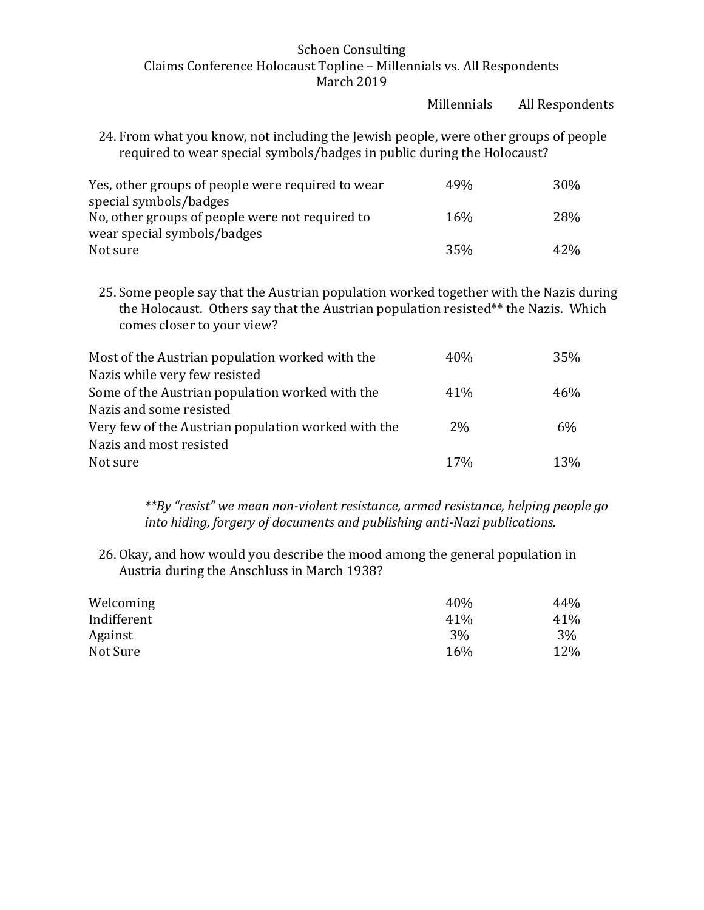|                                                                                                                                                                                                            | Millennials | All Respondents |
|------------------------------------------------------------------------------------------------------------------------------------------------------------------------------------------------------------|-------------|-----------------|
| 24. From what you know, not including the Jewish people, were other groups of people<br>required to wear special symbols/badges in public during the Holocaust?                                            |             |                 |
| Yes, other groups of people were required to wear<br>special symbols/badges                                                                                                                                | 49%         | 30%             |
| No, other groups of people were not required to<br>wear special symbols/badges                                                                                                                             | 16%         | 28%             |
| Not sure                                                                                                                                                                                                   | 35%         | 42%             |
| 25. Some people say that the Austrian population worked together with the Nazis during<br>the Holocaust. Others say that the Austrian population resisted** the Nazis. Which<br>comes closer to your view? |             |                 |
| Most of the Austrian population worked with the<br>Nazis while very few resisted                                                                                                                           | 40%         | 35%             |
| Some of the Austrian population worked with the<br>Nazis and some resisted                                                                                                                                 | 41%         | 46%             |
| Very few of the Austrian population worked with the<br>Nazis and most resisted                                                                                                                             | 2%          | 6%              |
| Not sure                                                                                                                                                                                                   | 17%         | 13%             |

*\*\*By "resist" we mean non-violent resistance, armed resistance, helping people go into hiding, forgery of documents and publishing anti-Nazi publications.* 

26. Okay, and how would you describe the mood among the general population in Austria during the Anschluss in March 1938?

| Welcoming   | 40%   | 44% |
|-------------|-------|-----|
| Indifferent | 41\%  | 41% |
| Against     | $3\%$ | 3%  |
| Not Sure    | 16%   | 12% |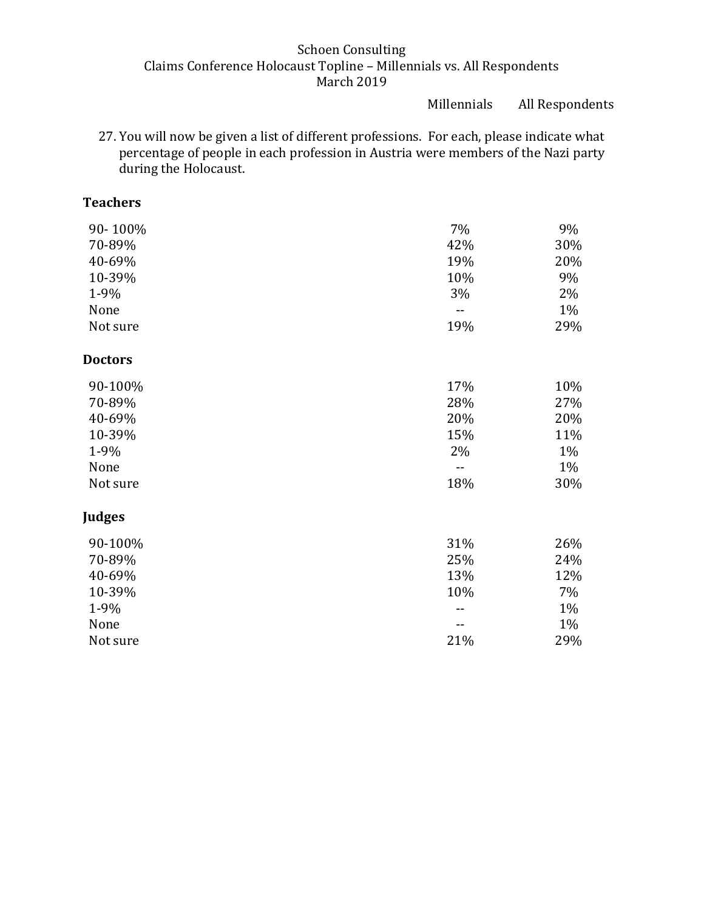Millennials All Respondents

27. You will now be given a list of different professions. For each, please indicate what percentage of people in each profession in Austria were members of the Nazi party during the Holocaust.

# **Teachers**

| 90-100%        | 7%  | 9%  |
|----------------|-----|-----|
| 70-89%         | 42% | 30% |
| 40-69%         | 19% | 20% |
| 10-39%         | 10% | 9%  |
| 1-9%           | 3%  | 2%  |
| None           |     | 1%  |
| Not sure       | 19% | 29% |
| <b>Doctors</b> |     |     |
| 90-100%        | 17% | 10% |
| 70-89%         | 28% | 27% |
| 40-69%         | 20% | 20% |
| 10-39%         | 15% | 11% |
| 1-9%           | 2%  | 1%  |
| None           |     | 1%  |
| Not sure       | 18% | 30% |
| Judges         |     |     |
| 90-100%        | 31% | 26% |
| 70-89%         | 25% | 24% |
| 40-69%         | 13% | 12% |
| 10-39%         | 10% | 7%  |
| 1-9%           |     | 1%  |
| None           |     | 1%  |
| Not sure       | 21% | 29% |
|                |     |     |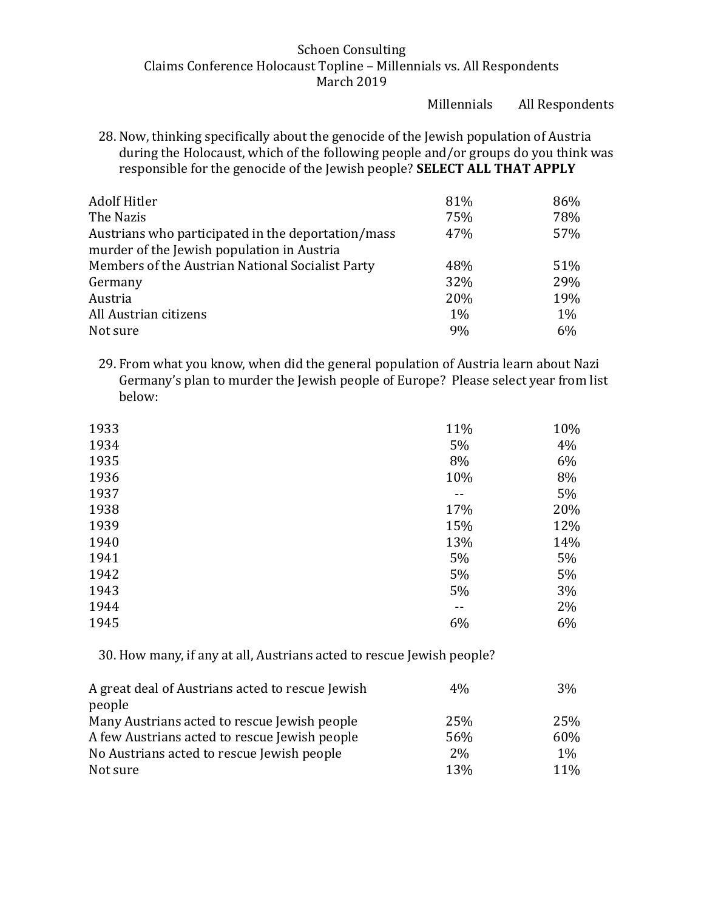Millennials All Respondents

28. Now, thinking specifically about the genocide of the Jewish population of Austria during the Holocaust, which of the following people and/or groups do you think was responsible for the genocide of the Jewish people? **SELECT ALL THAT APPLY** 

| <b>Adolf Hitler</b>                                | 81%   | 86%   |
|----------------------------------------------------|-------|-------|
| The Nazis                                          | 75%   | 78%   |
| Austrians who participated in the deportation/mass | 47%   | 57%   |
| murder of the Jewish population in Austria         |       |       |
| Members of the Austrian National Socialist Party   | 48%   | 51%   |
| Germany                                            | 32%   | 29%   |
| Austria                                            | 20%   | 19%   |
| All Austrian citizens                              | $1\%$ | $1\%$ |
| Not sure                                           | 9%    | 6%    |

29. From what you know, when did the general population of Austria learn about Nazi Germany's plan to murder the Jewish people of Europe? Please select year from list below:

| 1933 | 11%   | 10% |
|------|-------|-----|
| 1934 | 5%    | 4%  |
| 1935 | 8%    | 6%  |
| 1936 | 10%   | 8%  |
| 1937 | $- -$ | 5%  |
| 1938 | 17%   | 20% |
| 1939 | 15%   | 12% |
| 1940 | 13%   | 14% |
| 1941 | 5%    | 5%  |
| 1942 | 5%    | 5%  |
| 1943 | 5%    | 3%  |
| 1944 | --    | 2%  |
| 1945 | 6%    | 6%  |

30. How many, if any at all, Austrians acted to rescue Jewish people?

| A great deal of Austrians acted to rescue Jewish | $4\%$ | 3%         |
|--------------------------------------------------|-------|------------|
| people                                           |       |            |
| Many Austrians acted to rescue Jewish people     | 25%   | 25%        |
| A few Austrians acted to rescue Jewish people    | 56%   | 60%        |
| No Austrians acted to rescue Jewish people       | $2\%$ | $1\%$      |
| Not sure                                         | 13%   | <b>11%</b> |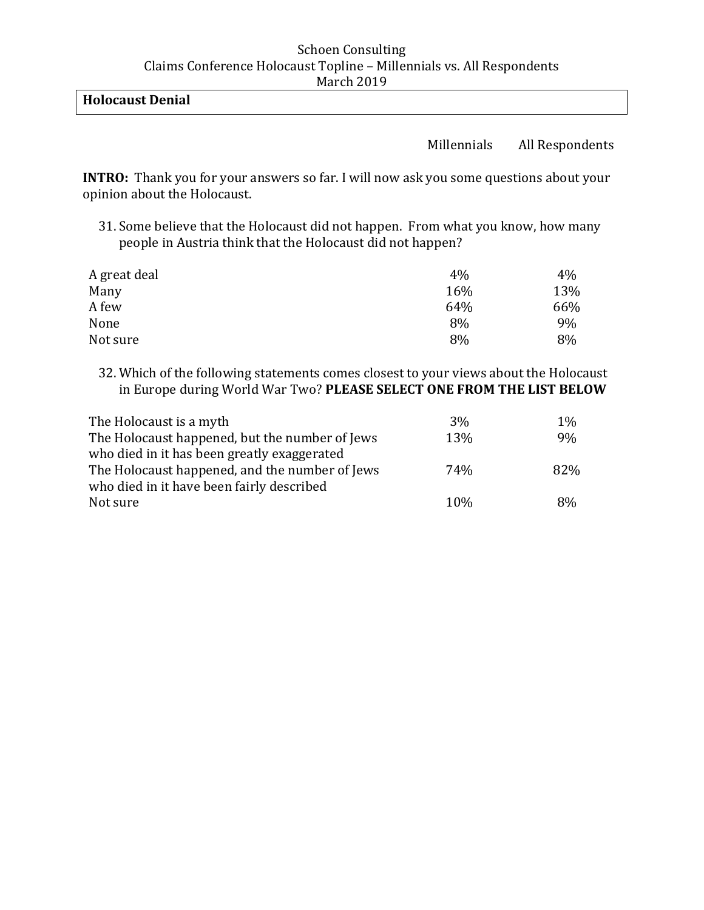## **Holocaust Denial**

### Millennials All Respondents

**INTRO:** Thank you for your answers so far. I will now ask you some questions about your opinion about the Holocaust.

31. Some believe that the Holocaust did not happen. From what you know, how many people in Austria think that the Holocaust did not happen?

| A great deal | 4%  | 4%  |
|--------------|-----|-----|
| Many         | 16% | 13% |
| A few        | 64% | 66% |
| None         | 8%  | 9%  |
| Not sure     | 8%  | 8%  |

32. Which of the following statements comes closest to your views about the Holocaust in Europe during World War Two? **PLEASE SELECT ONE FROM THE LIST BELOW**

| The Holocaust is a myth                        | 3%  | $1\%$ |
|------------------------------------------------|-----|-------|
| The Holocaust happened, but the number of Jews | 13% | 9%    |
| who died in it has been greatly exaggerated    |     |       |
| The Holocaust happened, and the number of Jews | 74% | 82%   |
| who died in it have been fairly described      |     |       |
| Not sure                                       | 10% | 8%    |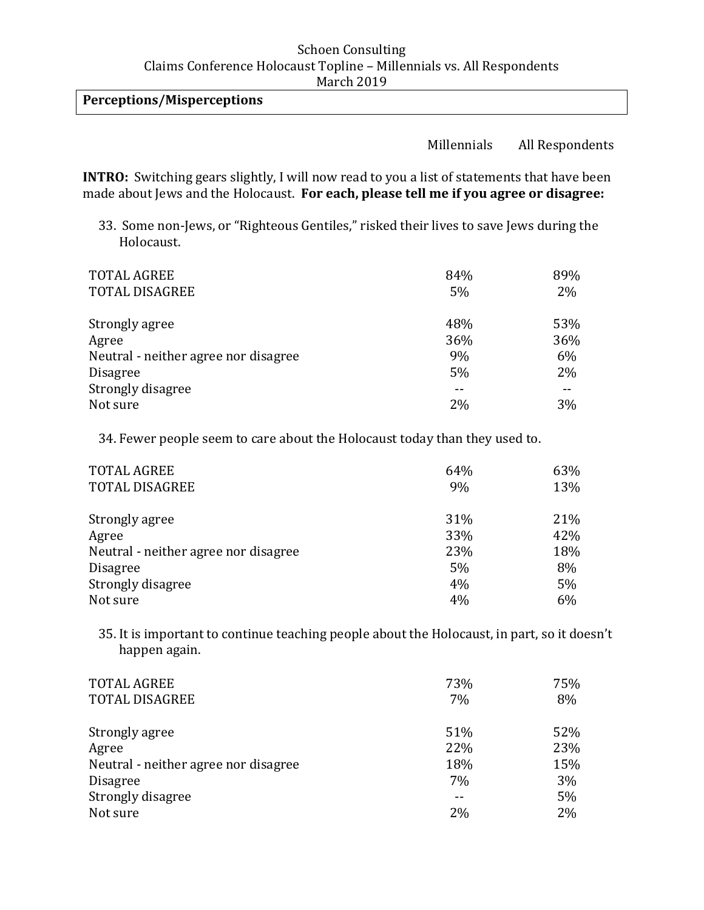## **Perceptions/Misperceptions**

#### Millennials All Respondents

**INTRO:** Switching gears slightly, I will now read to you a list of statements that have been made about Jews and the Holocaust. **For each, please tell me if you agree or disagree:** 

33. Some non-Jews, or "Righteous Gentiles," risked their lives to save Jews during the Holocaust.

| <b>TOTAL AGREE</b><br><b>TOTAL DISAGREE</b> | 84%<br>5% | 89%<br>2% |
|---------------------------------------------|-----------|-----------|
| Strongly agree                              | 48%       | 53%       |
| Agree                                       | 36%       | 36%       |
| Neutral - neither agree nor disagree        | 9%        | 6%        |
| <b>Disagree</b>                             | 5%        | 2%        |
| Strongly disagree                           |           |           |
| Not sure                                    | 2%        | 3%        |

34. Fewer people seem to care about the Holocaust today than they used to.

| <b>TOTAL AGREE</b>                   | 64% | 63% |
|--------------------------------------|-----|-----|
| <b>TOTAL DISAGREE</b>                | 9%  | 13% |
| Strongly agree                       | 31% | 21% |
| Agree                                | 33% | 42% |
| Neutral - neither agree nor disagree | 23% | 18% |
| <b>Disagree</b>                      | 5%  | 8%  |
| Strongly disagree                    | 4%  | 5%  |
| Not sure                             | 4%  | 6%  |

35. It is important to continue teaching people about the Holocaust, in part, so it doesn't happen again.

| <b>TOTAL AGREE</b>                   | 73% | 75%      |
|--------------------------------------|-----|----------|
| <b>TOTAL DISAGREE</b>                | 7%  | 8%       |
| Strongly agree                       | 51% | 52%      |
| Agree                                | 22% | 23%      |
| Neutral - neither agree nor disagree | 18% | 15%      |
| <b>Disagree</b>                      | 7%  | 3%       |
| Strongly disagree<br>Not sure        | 2%  | 5%<br>2% |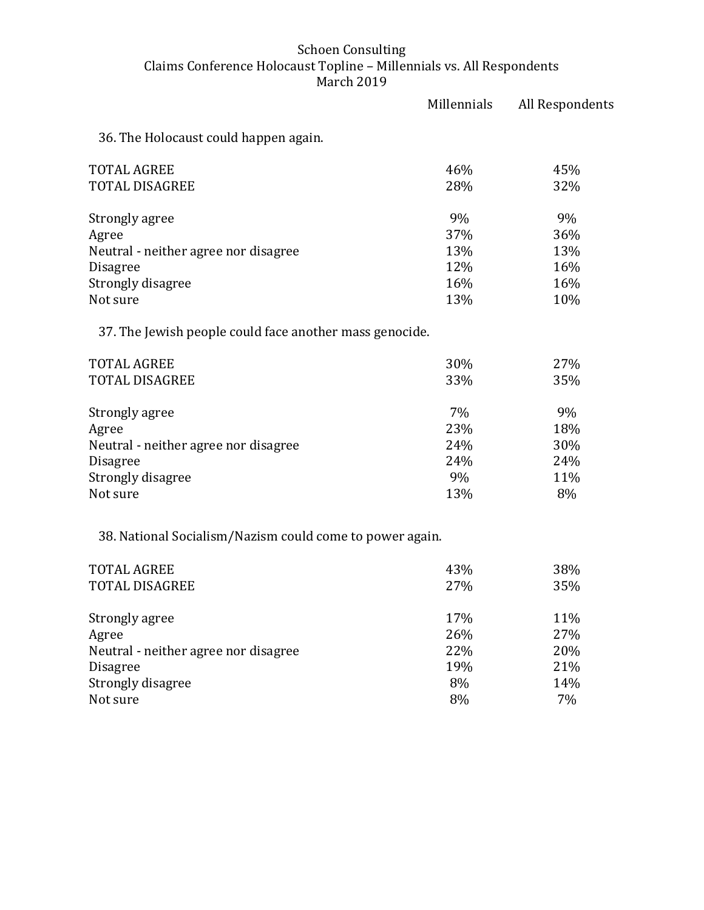|                                                          | Millennials | All Respondents |
|----------------------------------------------------------|-------------|-----------------|
| 36. The Holocaust could happen again.                    |             |                 |
| <b>TOTAL AGREE</b>                                       | 46%         | 45%             |
| TOTAL DISAGREE                                           | 28%         | 32%             |
| Strongly agree                                           | 9%          | 9%              |
| Agree                                                    | 37%         | 36%             |
| Neutral - neither agree nor disagree                     | 13%         | 13%             |
| Disagree                                                 | 12%         | 16%             |
| Strongly disagree                                        | 16%         | 16%             |
| Not sure                                                 | 13%         | 10%             |
| 37. The Jewish people could face another mass genocide.  |             |                 |
| <b>TOTAL AGREE</b>                                       | 30%         | 27%             |
| TOTAL DISAGREE                                           | 33%         | 35%             |
| Strongly agree                                           | 7%          | 9%              |
| Agree                                                    | 23%         | 18%             |
| Neutral - neither agree nor disagree                     | 24%         | 30%             |
| Disagree                                                 | 24%         | 24%             |
| Strongly disagree                                        | 9%          | 11%             |
| Not sure                                                 | 13%         | 8%              |
| 38. National Socialism/Nazism could come to power again. |             |                 |
| <b>TOTAL AGREE</b>                                       | 43%         | 38%             |
| TOTAL DISAGREE                                           | 27%         | 35%             |
| Strongly agree                                           | 17%         | 11%             |
| Agree                                                    | 26%         | 27%             |
| Neutral - neither agree nor disagree                     | 22%         | 20%             |
| <b>Disagree</b>                                          | 19%         | 21%             |
| Strongly disagree                                        | 8%          | 14%             |

Not sure  $8\%$  7%  $7\%$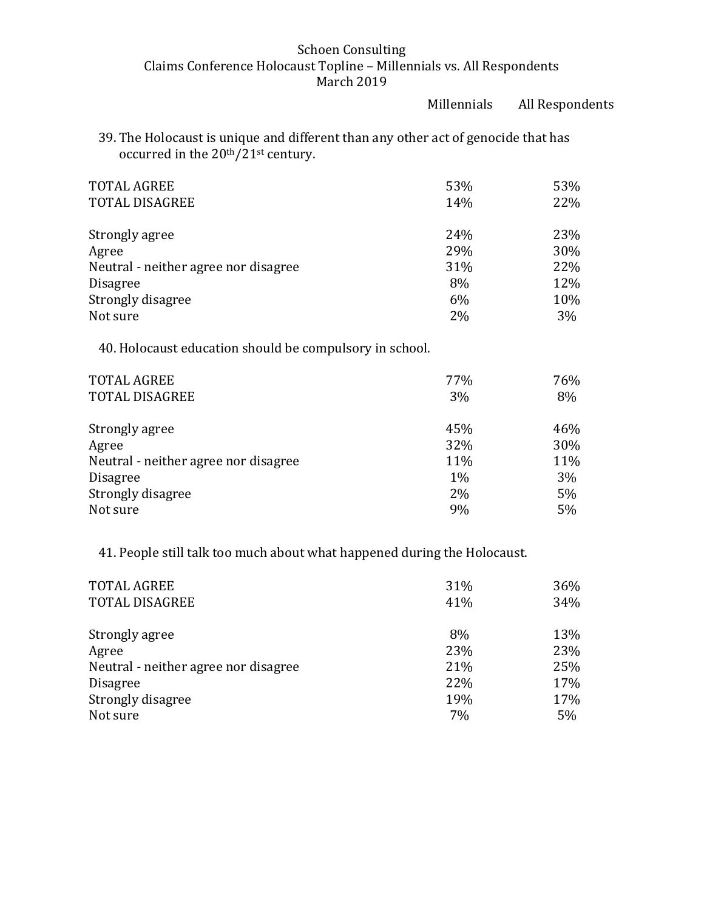Millennials All Respondents

39. The Holocaust is unique and different than any other act of genocide that has occurred in the 20th/21st century.

| <b>TOTAL AGREE</b><br><b>TOTAL DISAGREE</b> | 53%<br>14% | 53%<br>22% |
|---------------------------------------------|------------|------------|
| Strongly agree                              | 24%        | 23%        |
| Agree                                       | 29%        | 30%        |
| Neutral - neither agree nor disagree        | 31%        | 22%        |
| <b>Disagree</b>                             | 8%         | 12%        |
| Strongly disagree                           | 6%         | 10%        |
| Not sure                                    | 2%         | 3%         |

40. Holocaust education should be compulsory in school.

| <b>TOTAL AGREE</b><br><b>TOTAL DISAGREE</b> | 77%<br>3% | 76%<br>8% |
|---------------------------------------------|-----------|-----------|
| Strongly agree                              | 45%       | 46%       |
| Agree                                       | 32%       | 30%       |
| Neutral - neither agree nor disagree        | 11%       | 11%       |
| <b>Disagree</b>                             | 1%        | 3%        |
| Strongly disagree                           | 2%        | 5%        |
| Not sure                                    | 9%        | 5%        |

41. People still talk too much about what happened during the Holocaust.

| <b>TOTAL AGREE</b>                   | 31% | 36% |
|--------------------------------------|-----|-----|
| <b>TOTAL DISAGREE</b>                | 41% | 34% |
|                                      |     |     |
| Strongly agree                       | 8%  | 13% |
| Agree                                | 23% | 23% |
| Neutral - neither agree nor disagree | 21% | 25% |
| <b>Disagree</b>                      | 22% | 17% |
| Strongly disagree                    | 19% | 17% |
| Not sure                             | 7%  | 5%  |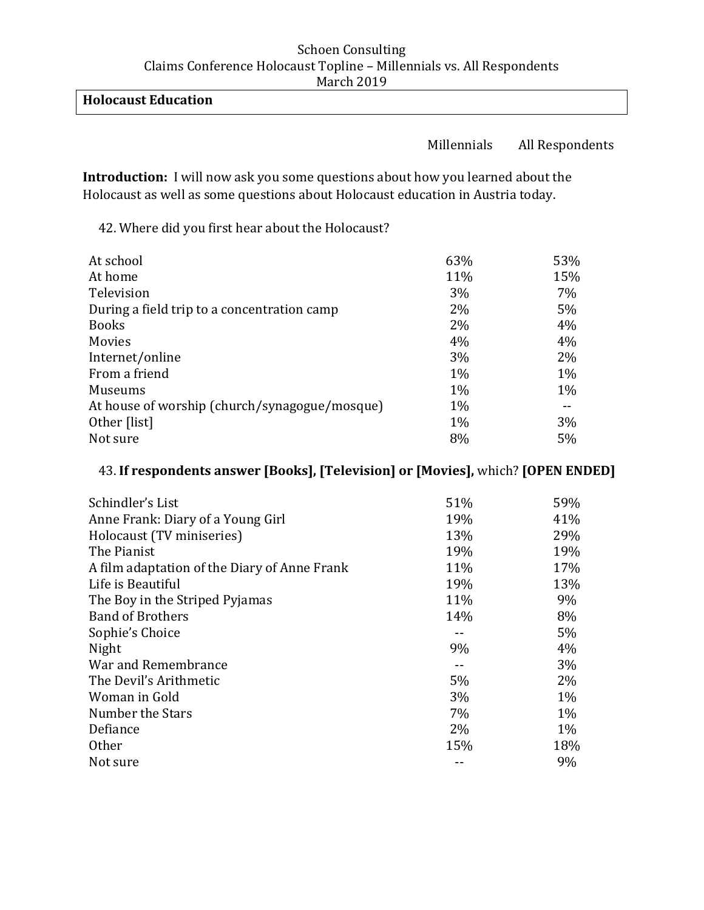# **Holocaust Education**

### Millennials All Respondents

**Introduction:** I will now ask you some questions about how you learned about the Holocaust as well as some questions about Holocaust education in Austria today.

42. Where did you first hear about the Holocaust?

| At school                                     | 63%   | 53%   |
|-----------------------------------------------|-------|-------|
| At home                                       | 11%   | 15%   |
| Television                                    | 3%    | 7%    |
| During a field trip to a concentration camp   | $2\%$ | 5%    |
| <b>Books</b>                                  | $2\%$ | 4%    |
| Movies                                        | 4%    | 4%    |
| Internet/online                               | 3%    | 2%    |
| From a friend                                 | $1\%$ | 1%    |
| Museums                                       | $1\%$ | $1\%$ |
| At house of worship (church/synagogue/mosque) | $1\%$ |       |
| Other [list]                                  | $1\%$ | 3%    |
| Not sure                                      | 8%    | 5%    |

## 43. **If respondents answer [Books], [Television] or [Movies],** which? **[OPEN ENDED]**

| Schindler's List                             | 51% | 59%   |
|----------------------------------------------|-----|-------|
| Anne Frank: Diary of a Young Girl            | 19% | 41%   |
| Holocaust (TV miniseries)                    | 13% | 29%   |
| The Pianist                                  | 19% | 19%   |
| A film adaptation of the Diary of Anne Frank | 11% | 17%   |
| Life is Beautiful                            | 19% | 13%   |
| The Boy in the Striped Pyjamas               | 11% | 9%    |
| <b>Band of Brothers</b>                      | 14% | 8%    |
| Sophie's Choice                              |     | $5\%$ |
| Night                                        | 9%  | 4%    |
| War and Remembrance                          |     | 3%    |
| The Devil's Arithmetic                       | 5%  | 2%    |
| Woman in Gold                                | 3%  | $1\%$ |
| Number the Stars                             | 7%  | $1\%$ |
| Defiance                                     | 2%  | $1\%$ |
| <b>Other</b>                                 | 15% | 18%   |
| Not sure                                     |     | 9%    |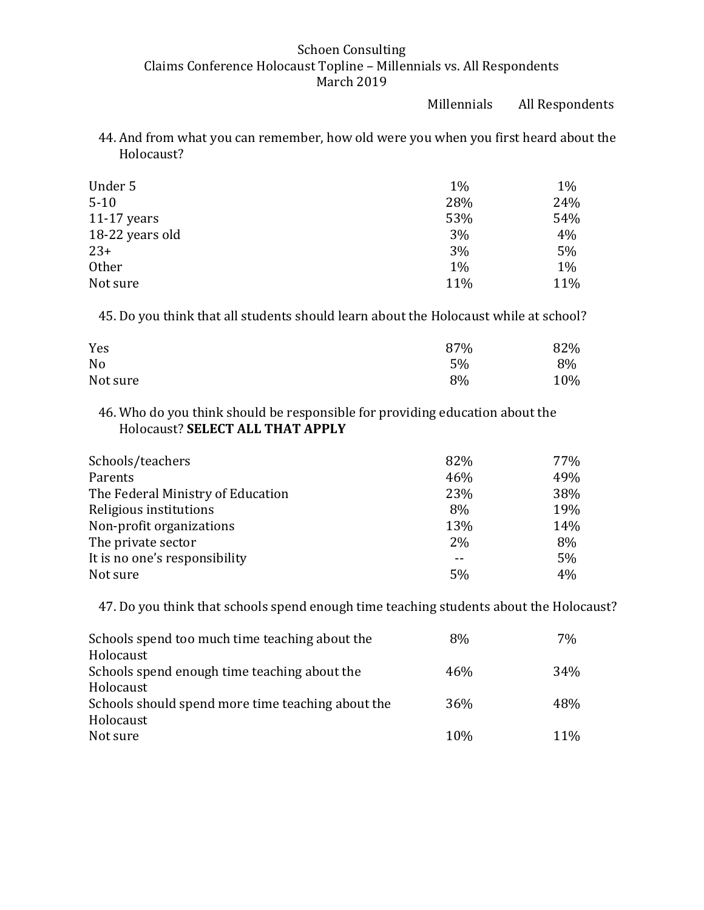Millennials All Respondents

44. And from what you can remember, how old were you when you first heard about the Holocaust?

| Under 5         | $1\%$ | $1\%$ |
|-----------------|-------|-------|
| $5 - 10$        | 28%   | 24%   |
| $11-17$ years   | 53%   | 54%   |
| 18-22 years old | 3%    | 4%    |
| $23+$           | 3%    | 5%    |
| <b>Other</b>    | 1%    | 1%    |
| Not sure        | 11%   | 11%   |

45. Do you think that all students should learn about the Holocaust while at school?

| Yes      | 87% | 82% |
|----------|-----|-----|
| No       | 5%  | 8%  |
| Not sure | 8%  | 10% |

46. Who do you think should be responsible for providing education about the Holocaust? **SELECT ALL THAT APPLY**

| Schools/teachers                  | 82%   | 77% |
|-----------------------------------|-------|-----|
| Parents                           | 46%   | 49% |
| The Federal Ministry of Education | 23%   | 38% |
| Religious institutions            | 8%    | 19% |
| Non-profit organizations          | 13%   | 14% |
| The private sector                | $2\%$ | 8%  |
| It is no one's responsibility     |       | 5%  |
| Not sure                          | 5%    | 4%  |

47. Do you think that schools spend enough time teaching students about the Holocaust?

| Schools spend too much time teaching about the    | 8%  | 7%  |
|---------------------------------------------------|-----|-----|
| Holocaust                                         |     |     |
| Schools spend enough time teaching about the      | 46% | 34% |
| Holocaust                                         |     |     |
| Schools should spend more time teaching about the | 36% | 48% |
| Holocaust                                         |     |     |
| Not sure                                          | 10% | 11% |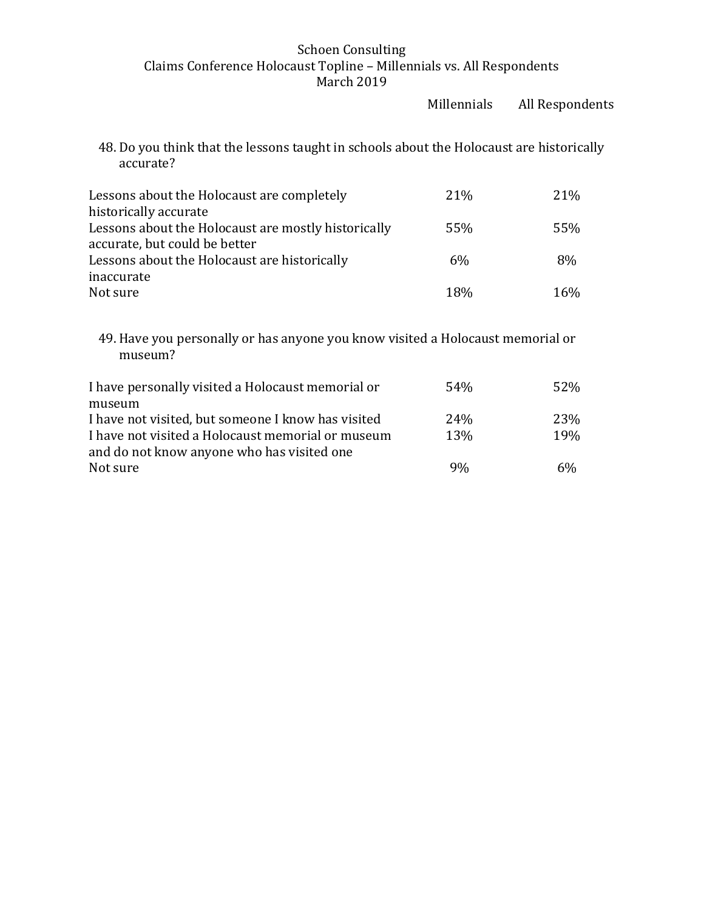Millennials All Respondents

48. Do you think that the lessons taught in schools about the Holocaust are historically accurate?

| Lessons about the Holocaust are completely                                   | 21%   | 21\% |
|------------------------------------------------------------------------------|-------|------|
| historically accurate<br>Lessons about the Holocaust are mostly historically | 55%   | 55%  |
| accurate, but could be better                                                |       |      |
| Lessons about the Holocaust are historically                                 | $6\%$ | 8%   |
| inaccurate                                                                   |       |      |
| Not sure                                                                     | 18%   | 16%  |

49. Have you personally or has anyone you know visited a Holocaust memorial or museum?

| I have personally visited a Holocaust memorial or  | 54 <sub>%</sub> | 52% |
|----------------------------------------------------|-----------------|-----|
| museum                                             |                 |     |
| I have not visited, but someone I know has visited | 24 <sub>%</sub> | 23% |
| I have not visited a Holocaust memorial or museum  | 13%             | 19% |
| and do not know anyone who has visited one         |                 |     |
| Not sure                                           | 9%              | 6%  |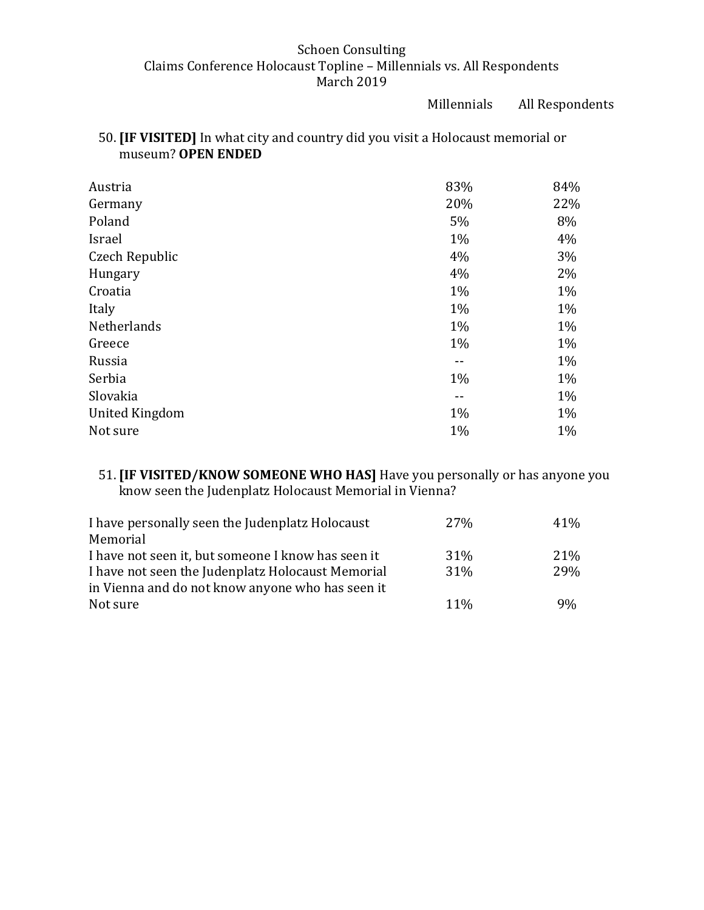Millennials All Respondents

# 50. **[IF VISITED]** In what city and country did you visit a Holocaust memorial or museum? **OPEN ENDED**

| Austria        | 83%   | 84%   |
|----------------|-------|-------|
| Germany        | 20%   | 22%   |
| Poland         | 5%    | 8%    |
| Israel         | $1\%$ | 4%    |
| Czech Republic | 4%    | 3%    |
| Hungary        | 4%    | 2%    |
| Croatia        | $1\%$ | $1\%$ |
| Italy          | $1\%$ | 1%    |
| Netherlands    | $1\%$ | 1%    |
| Greece         | $1\%$ | 1%    |
| Russia         |       | $1\%$ |
| Serbia         | $1\%$ | $1\%$ |
| Slovakia       | --    | 1%    |
| United Kingdom | 1%    | 1%    |
| Not sure       | $1\%$ | 1%    |

## 51. **[IF VISITED/KNOW SOMEONE WHO HAS]** Have you personally or has anyone you know seen the Judenplatz Holocaust Memorial in Vienna?

| I have personally seen the Judenplatz Holocaust    | <b>27%</b> | 41%        |
|----------------------------------------------------|------------|------------|
| Memorial                                           |            |            |
| I have not seen it, but someone I know has seen it | 31%        | 21%        |
| I have not seen the Judenplatz Holocaust Memorial  | 31%        | <b>29%</b> |
| in Vienna and do not know anyone who has seen it   |            |            |
| Not sure                                           | $11\%$     | 9%         |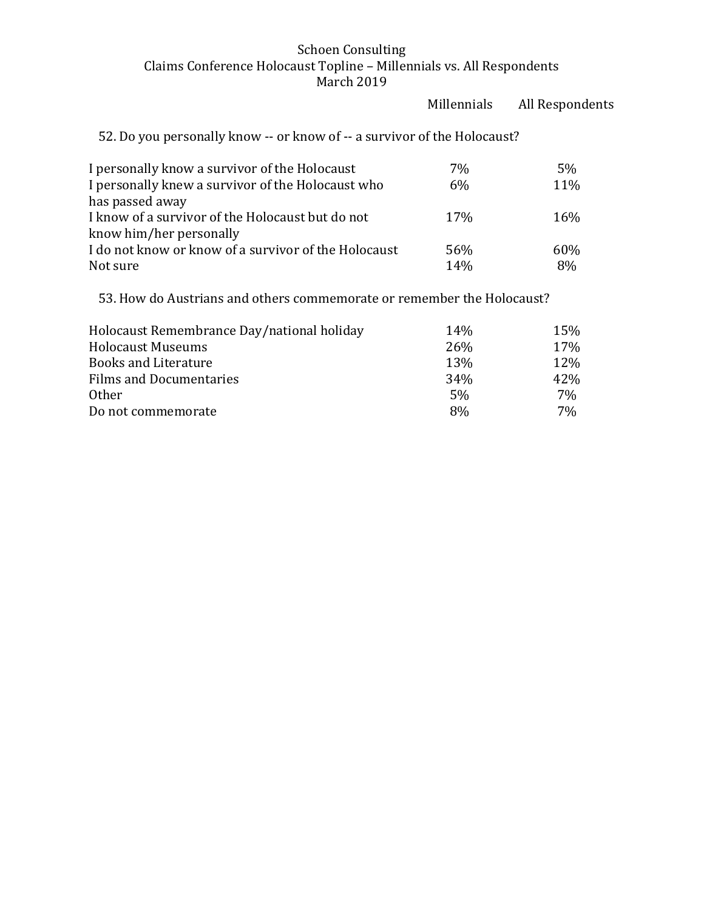|                                                                             | Millennials | All Respondents |
|-----------------------------------------------------------------------------|-------------|-----------------|
| 52. Do you personally know -- or know of -- a survivor of the Holocaust?    |             |                 |
| I personally know a survivor of the Holocaust                               | 7%          | 5%              |
| I personally knew a survivor of the Holocaust who<br>has passed away        | 6%          | 11%             |
| I know of a survivor of the Holocaust but do not<br>know him/her personally | 17%         | 16%             |
| I do not know or know of a survivor of the Holocaust                        | 56%         | 60%             |
| Not sure                                                                    | 14%         | 8%              |
| 53. How do Austrians and others commemorate or remember the Holocaust?      |             |                 |
| Holocaust Remembrance Day/national holiday                                  | 14%         | 15%             |

| Holocaust Reinembrance Day Hational Holiday | 14%             | 1 J 70 |
|---------------------------------------------|-----------------|--------|
| <b>Holocaust Museums</b>                    | <b>26%</b>      | 17%    |
| <b>Books and Literature</b>                 | 13%             | 12%    |
| <b>Films and Documentaries</b>              | 34 <sub>%</sub> | 42%    |
| Other.                                      | .5%             | 7%     |
| Do not commemorate                          | 8%              | 7%     |
|                                             |                 |        |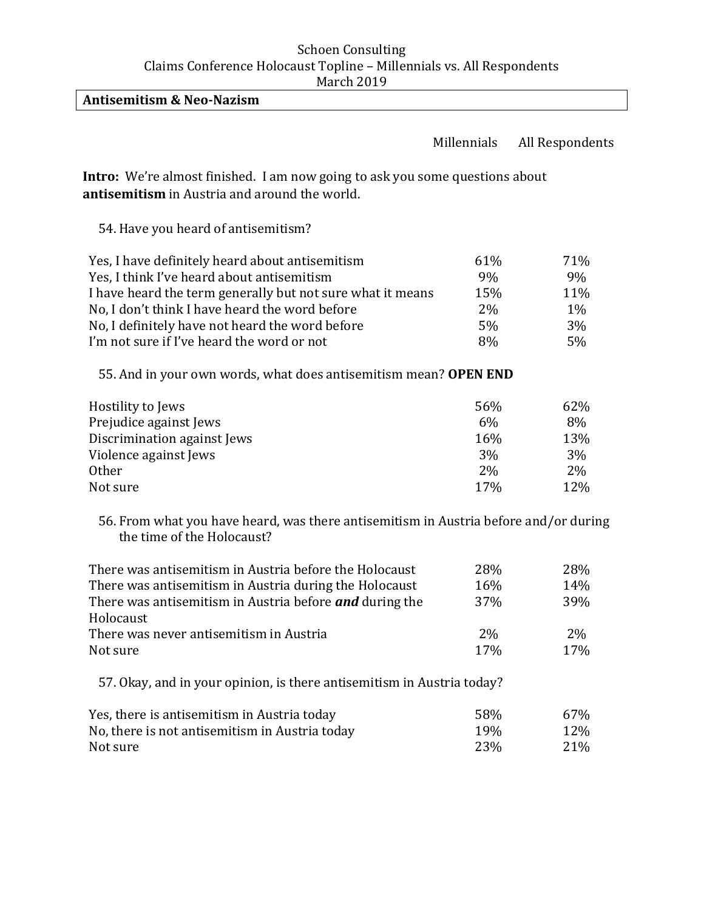**Antisemitism & Neo-Nazism** 

#### Millennials All Respondents

**Intro:** We're almost finished. I am now going to ask you some questions about **antisemitism** in Austria and around the world.

54. Have you heard of antisemitism?

| Yes, I have definitely heard about antisemitism            | 61% | 71%   |
|------------------------------------------------------------|-----|-------|
| Yes, I think I've heard about antisemitism                 | 9%  | 9%    |
| I have heard the term generally but not sure what it means | 15% | 11%   |
| No, I don't think I have heard the word before             | 2%  | $1\%$ |
| No, I definitely have not heard the word before            | 5%  | 3%    |
| I'm not sure if I've heard the word or not                 | 8%  | 5%    |

55. And in your own words, what does antisemitism mean? **OPEN END** 

| Hostility to Jews           | 56% | 62% |
|-----------------------------|-----|-----|
| Prejudice against Jews      | 6%  | 8%  |
| Discrimination against Jews | 16% | 13% |
| Violence against Jews       | 3%  | 3%  |
| <b>Other</b>                | 2%  | 2%  |
| Not sure                    | 17% | 12% |

56. From what you have heard, was there antisemitism in Austria before and/or during the time of the Holocaust?

| There was antisemitism in Austria before the Holocaust                 | 28%        | 28%        |
|------------------------------------------------------------------------|------------|------------|
| There was antisemitism in Austria during the Holocaust                 | 16%        | 14%        |
| There was antisemitism in Austria before <b>and</b> during the         | <b>37%</b> | <b>39%</b> |
| Holocaust                                                              |            |            |
| There was never antisemitism in Austria                                | <b>2%</b>  | <b>2%</b>  |
| Not sure                                                               | 17%        | 17%        |
| 57. Okay, and in your opinion, is there antisemitism in Austria today? |            |            |

| Yes, there is antisemitism in Austria today    | .58%            | 67% |
|------------------------------------------------|-----------------|-----|
| No, there is not antisemitism in Austria today | 19 <sub>%</sub> | 12% |
| Not sure                                       | 23%             | 21% |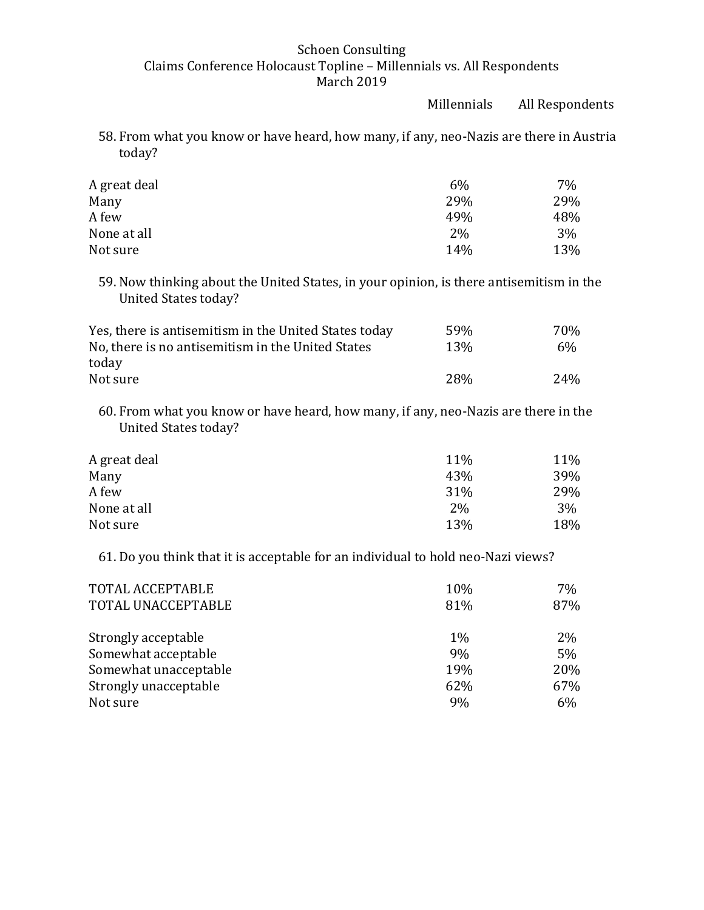Millennials All Respondents

58. From what you know or have heard, how many, if any, neo-Nazis are there in Austria today?

| A great deal | $6\%$ | 7%  |
|--------------|-------|-----|
| Many         | 29%   | 29% |
| A few        | 49%   | 48% |
| None at all  | 2%    | 3%  |
| Not sure     | 14%   | 13% |

59. Now thinking about the United States, in your opinion, is there antisemitism in the United States today?

| Yes, there is antisemitism in the United States today | 59 <sub>%</sub> | 70 <sub>%</sub> |
|-------------------------------------------------------|-----------------|-----------------|
| No, there is no antisemitism in the United States     | 13 <sub>%</sub> | 6%              |
| today                                                 |                 |                 |
| Not sure                                              | 2.8%            | 24%             |

60. From what you know or have heard, how many, if any, neo-Nazis are there in the United States today?

| 11%   | 11% |
|-------|-----|
| 43%   | 39% |
| 31%   | 29% |
| $2\%$ | 3%  |
| 13%   | 18% |
|       |     |

61. Do you think that it is acceptable for an individual to hold neo-Nazi views?

| TOTAL ACCEPTABLE<br>TOTAL UNACCEPTABLE | 10%<br>81% | 7%<br>87% |
|----------------------------------------|------------|-----------|
| Strongly acceptable                    | 1%         | $2\%$     |
| Somewhat acceptable                    | 9%         | 5%        |
| Somewhat unacceptable                  | 19%        | 20%       |
| Strongly unacceptable                  | 62%        | 67%       |
| Not sure                               | 9%         | 6%        |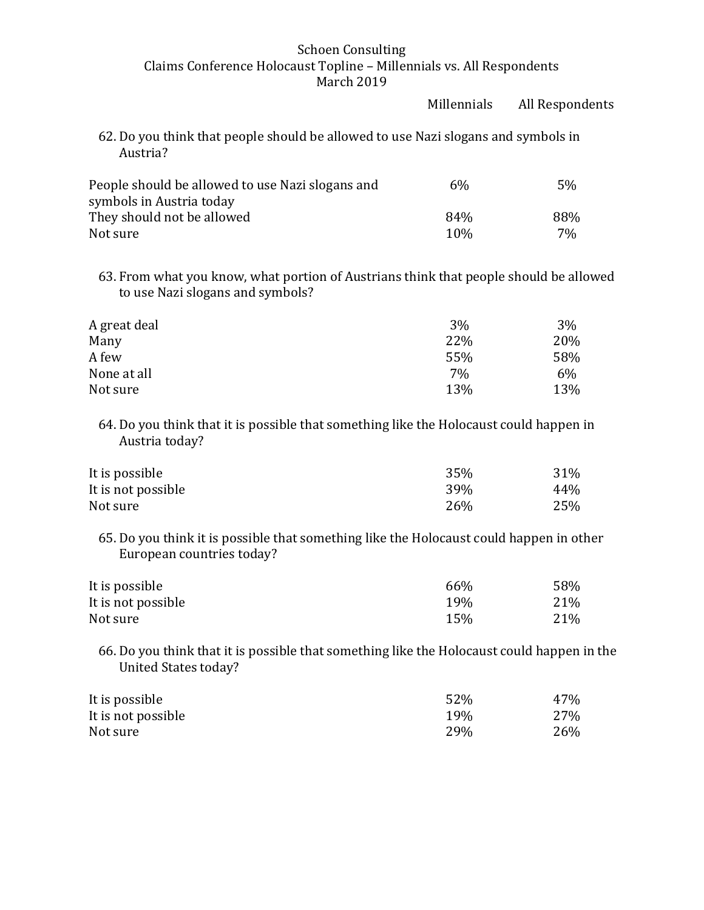|                                                                                                                           | Millennials | All Respondents |
|---------------------------------------------------------------------------------------------------------------------------|-------------|-----------------|
| 62. Do you think that people should be allowed to use Nazi slogans and symbols in<br>Austria?                             |             |                 |
| People should be allowed to use Nazi slogans and<br>symbols in Austria today                                              | 6%          | 5%              |
| They should not be allowed                                                                                                | 84%         | 88%             |
| Not sure                                                                                                                  | 10%         | 7%              |
| 63. From what you know, what portion of Austrians think that people should be allowed<br>to use Nazi slogans and symbols? |             |                 |
| A great deal                                                                                                              | $3\%$       | 3%              |
| Many                                                                                                                      | 22%         | 20%             |
| A few                                                                                                                     | 55%         | 58%             |
| None at all                                                                                                               | 7%          | 6%              |
| Not sure                                                                                                                  | 13%         | 13%             |
| 64. Do you think that it is possible that something like the Holocaust could happen in<br>Austria today?                  |             |                 |
| It is possible                                                                                                            | 35%         | 31%             |
| It is not possible                                                                                                        | 39%         | 44%             |
| Not sure                                                                                                                  | 26%         | 25%             |
| 65. Do you think it is possible that something like the Holocaust could happen in other<br>European countries today?      |             |                 |
| It is possible                                                                                                            | 66%         | 58%             |
| It is not possible                                                                                                        | 19%         | 21%             |
| Not sure                                                                                                                  | 15%         | 21%             |

66. Do you think that it is possible that something like the Holocaust could happen in the United States today?

| It is possible     | 52%        | 47% |
|--------------------|------------|-----|
| It is not possible | 19%        | 27% |
| Not sure           | <b>29%</b> | 26% |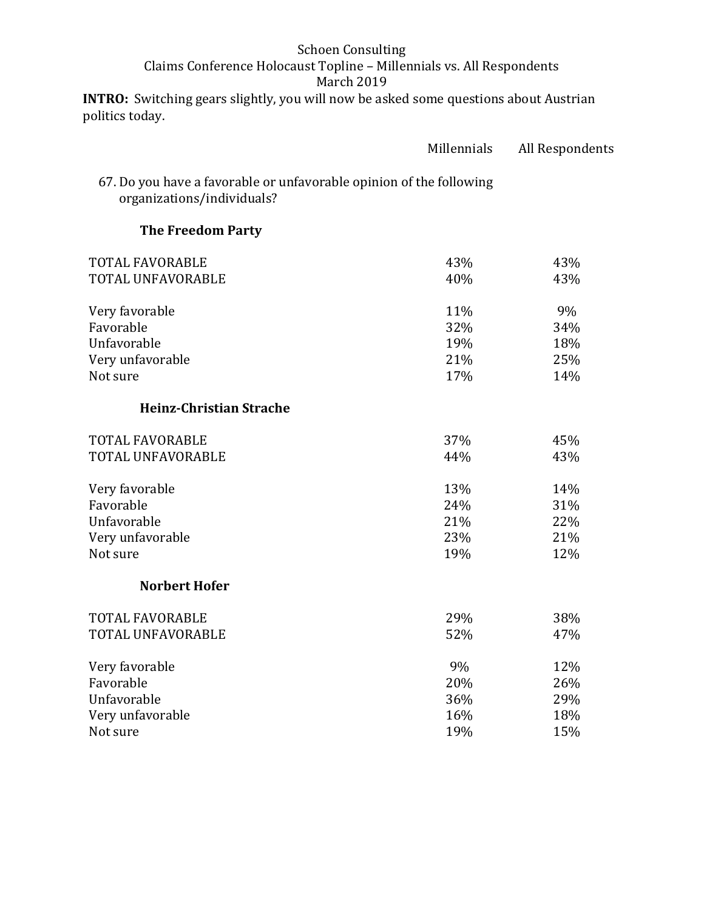**INTRO:** Switching gears slightly, you will now be asked some questions about Austrian politics today.

|                                                                                                   | Millennials | All Respondents |
|---------------------------------------------------------------------------------------------------|-------------|-----------------|
| 67. Do you have a favorable or unfavorable opinion of the following<br>organizations/individuals? |             |                 |
| <b>The Freedom Party</b>                                                                          |             |                 |
| <b>TOTAL FAVORABLE</b>                                                                            | 43%         | 43%             |
| TOTAL UNFAVORABLE                                                                                 | 40%         | 43%             |
| Very favorable                                                                                    | 11%         | 9%              |
| Favorable                                                                                         | 32%         | 34%             |
| Unfavorable                                                                                       | 19%         | 18%             |
| Very unfavorable                                                                                  | 21%         | 25%             |
| Not sure                                                                                          | 17%         | 14%             |
| <b>Heinz-Christian Strache</b>                                                                    |             |                 |
| <b>TOTAL FAVORABLE</b>                                                                            | 37%         | 45%             |
| TOTAL UNFAVORABLE                                                                                 | 44%         | 43%             |
| Very favorable                                                                                    | 13%         | 14%             |
| Favorable                                                                                         | 24%         | 31%             |
| Unfavorable                                                                                       | 21%         | 22%             |
| Very unfavorable                                                                                  | 23%         | 21%             |
| Not sure                                                                                          | 19%         | 12%             |
| <b>Norbert Hofer</b>                                                                              |             |                 |
| <b>TOTAL FAVORABLE</b>                                                                            | 29%         | 38%             |
| TOTAL UNFAVORABLE                                                                                 | 52%         | 47%             |
| Very favorable                                                                                    | 9%          | 12%             |
| Favorable                                                                                         | 20%         | 26%             |
| Unfavorable                                                                                       | 36%         | 29%             |
| Very unfavorable                                                                                  | 16%         | 18%             |
| Not sure                                                                                          | 19%         | 15%             |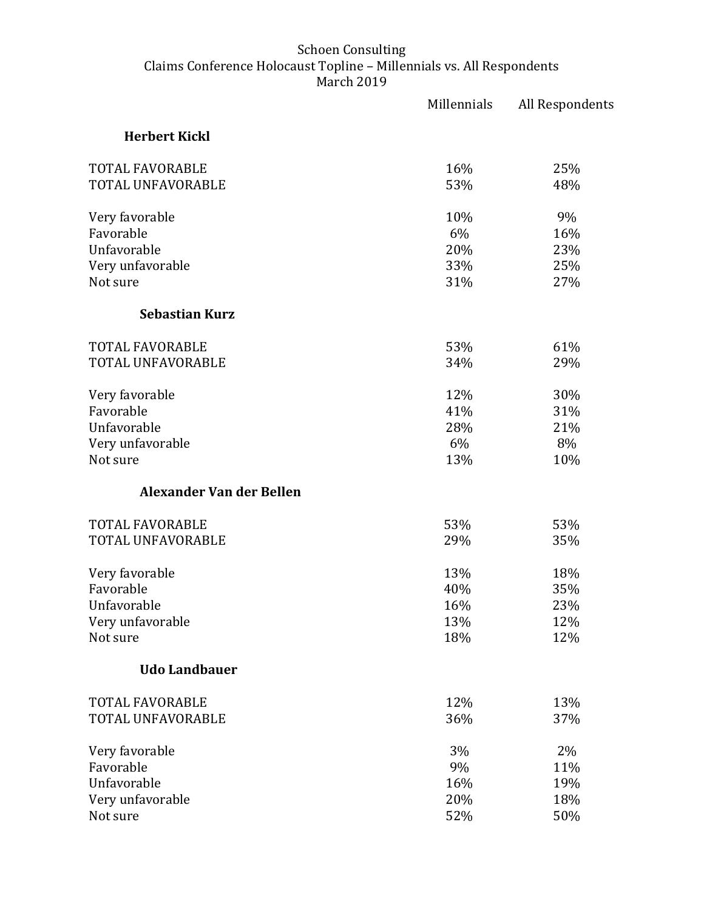|                          | Millennials | All Respondents |
|--------------------------|-------------|-----------------|
| <b>Herbert Kickl</b>     |             |                 |
| <b>TOTAL FAVORABLE</b>   | 16%         | 25%             |
| TOTAL UNFAVORABLE        | 53%         | 48%             |
| Very favorable           | 10%         | 9%              |
| Favorable                | 6%          | 16%             |
| Unfavorable              | 20%         | 23%             |
| Very unfavorable         | 33%         | 25%             |
| Not sure                 | 31%         | 27%             |
| <b>Sebastian Kurz</b>    |             |                 |
| <b>TOTAL FAVORABLE</b>   | 53%         | 61%             |
| TOTAL UNFAVORABLE        | 34%         | 29%             |
| Very favorable           | 12%         | 30%             |
| Favorable                | 41%         | 31%             |
| Unfavorable              | 28%         | 21%             |
| Very unfavorable         | 6%          | 8%              |
| Not sure                 | 13%         | 10%             |
| Alexander Van der Bellen |             |                 |
| <b>TOTAL FAVORABLE</b>   | 53%         | 53%             |
| TOTAL UNFAVORABLE        | 29%         | 35%             |
| Very favorable           | 13%         | 18%             |
| Favorable                | 40%         | 35%             |
| Unfavorable              | 16%         | 23%             |
| Very unfavorable         | 13%         | 12%             |
| Not sure                 | 18%         | 12%             |
| <b>Udo Landbauer</b>     |             |                 |
| <b>TOTAL FAVORABLE</b>   | 12%         | 13%             |
| TOTAL UNFAVORABLE        | 36%         | 37%             |
| Very favorable           | 3%          | 2%              |
| Favorable                | 9%          | 11%             |
| Unfavorable              | 16%         | 19%             |
| Very unfavorable         | 20%         | 18%             |
| Not sure                 | 52%         | 50%             |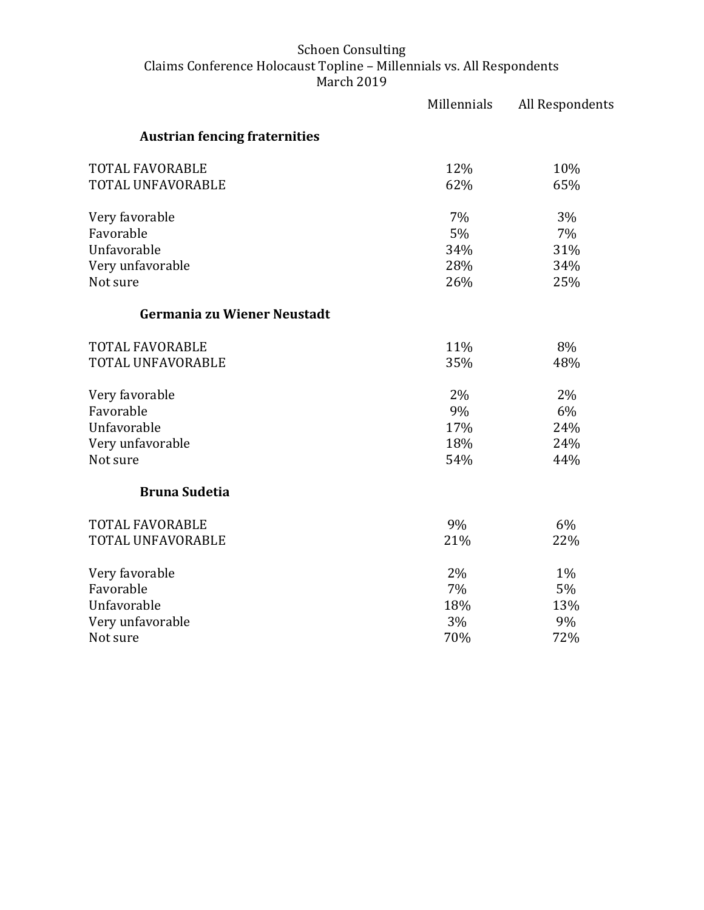|                                      | Millennials | All Respondents |
|--------------------------------------|-------------|-----------------|
| <b>Austrian fencing fraternities</b> |             |                 |
| <b>TOTAL FAVORABLE</b>               | 12%         | 10%             |
| TOTAL UNFAVORABLE                    | 62%         | 65%             |
| Very favorable                       | 7%          | 3%              |
| Favorable                            | 5%          | 7%              |
| Unfavorable                          | 34%         | 31%             |
| Very unfavorable                     | 28%         | 34%             |
| Not sure                             | 26%         | 25%             |
| Germania zu Wiener Neustadt          |             |                 |
| <b>TOTAL FAVORABLE</b>               | 11%         | 8%              |
| TOTAL UNFAVORABLE                    | 35%         | 48%             |
| Very favorable                       | 2%          | 2%              |
| Favorable                            | 9%          | 6%              |
| Unfavorable                          | 17%         | 24%             |
| Very unfavorable                     | 18%         | 24%             |
| Not sure                             | 54%         | 44%             |
| <b>Bruna Sudetia</b>                 |             |                 |
| <b>TOTAL FAVORABLE</b>               | 9%          | 6%              |
| TOTAL UNFAVORABLE                    | 21%         | 22%             |
| Very favorable                       | 2%          | $1\%$           |
| Favorable                            | 7%          | 5%              |
| Unfavorable                          | 18%         | 13%             |
| Very unfavorable                     | 3%          | 9%              |
| Not sure                             | 70%         | 72%             |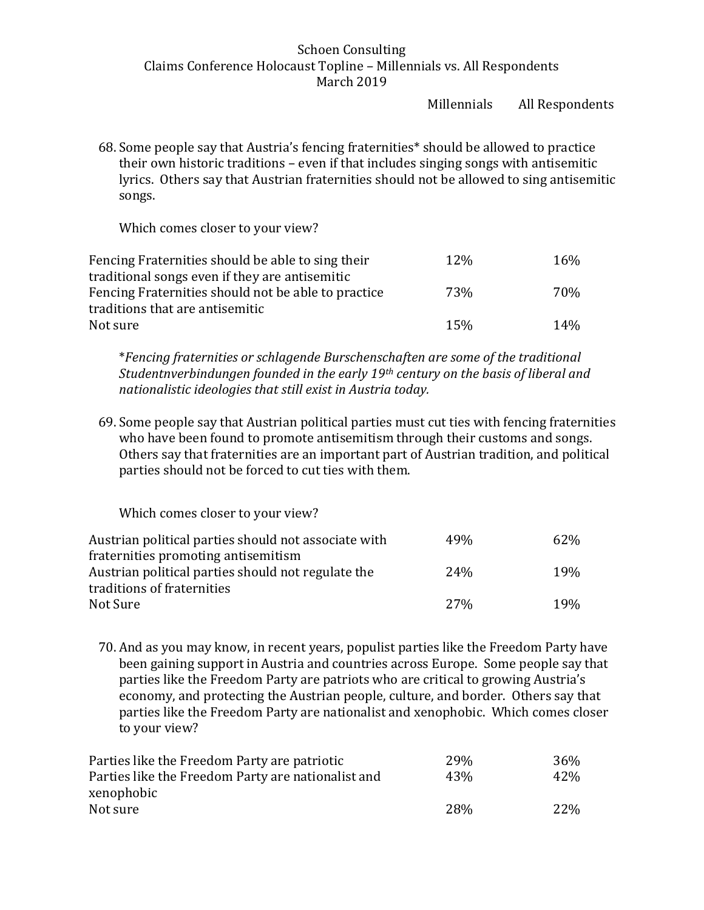Millennials All Respondents

68. Some people say that Austria's fencing fraternities\* should be allowed to practice their own historic traditions – even if that includes singing songs with antisemitic lyrics. Others say that Austrian fraternities should not be allowed to sing antisemitic songs.

Which comes closer to your view?

| Fencing Fraternities should be able to sing their   | 12% | 16%             |
|-----------------------------------------------------|-----|-----------------|
| traditional songs even if they are antisemitic      |     |                 |
| Fencing Fraternities should not be able to practice | 73% | 70%             |
| traditions that are antisemitic                     |     |                 |
| Not sure                                            | 15% | 14 <sub>%</sub> |

\**Fencing fraternities or schlagende Burschenschaften are some of the traditional Studentnverbindungen founded in the early 19th century on the basis of liberal and nationalistic ideologies that still exist in Austria today.* 

69. Some people say that Austrian political parties must cut ties with fencing fraternities who have been found to promote antisemitism through their customs and songs. Others say that fraternities are an important part of Austrian tradition, and political parties should not be forced to cut ties with them.

Which comes closer to your view?

| Austrian political parties should not associate with | 49%             | 62%             |
|------------------------------------------------------|-----------------|-----------------|
| fraternities promoting antisemitism                  |                 |                 |
| Austrian political parties should not regulate the   | 24 <sub>%</sub> | 19 <sub>%</sub> |
| traditions of fraternities                           |                 |                 |
| Not Sure                                             | 2.7%            | 19 <sub>%</sub> |

70. And as you may know, in recent years, populist parties like the Freedom Party have been gaining support in Austria and countries across Europe. Some people say that parties like the Freedom Party are patriots who are critical to growing Austria's economy, and protecting the Austrian people, culture, and border. Others say that parties like the Freedom Party are nationalist and xenophobic. Which comes closer to your view?

| Parties like the Freedom Party are patriotic       | 29 <sub>%</sub> | 36%             |
|----------------------------------------------------|-----------------|-----------------|
| Parties like the Freedom Party are nationalist and | 43%             | 42\%            |
| xenophobic                                         |                 |                 |
| Not sure                                           | <b>28%</b>      | 22 <sup>%</sup> |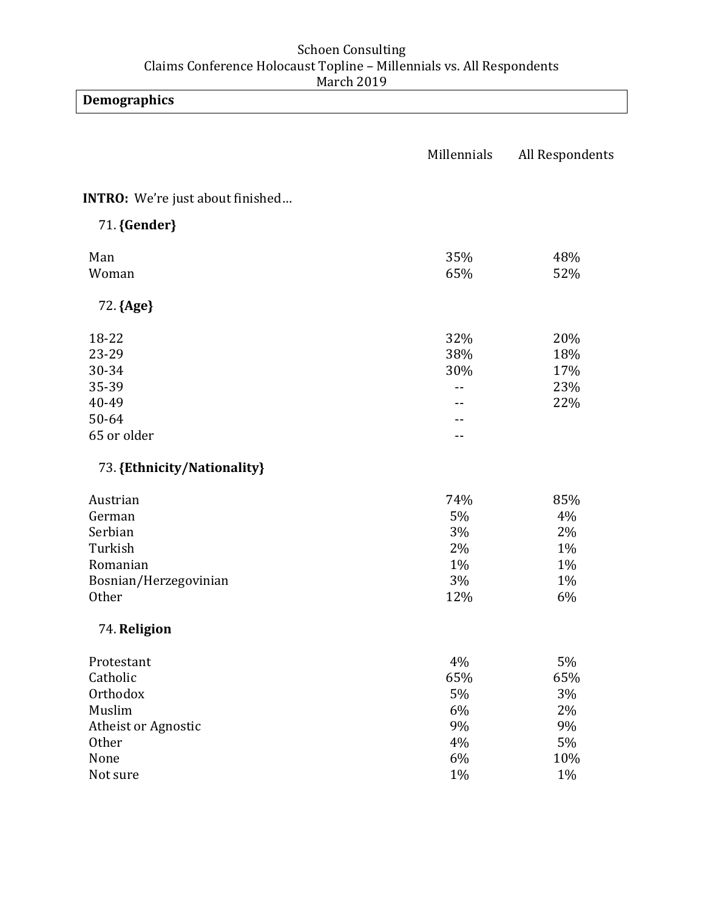**Demographics** 

|                                  | Millennials | All Respondents |
|----------------------------------|-------------|-----------------|
| INTRO: We're just about finished |             |                 |
| 71. {Gender}                     |             |                 |
| Man                              | 35%         | 48%             |
| Woman                            | 65%         | 52%             |
| 72. {Age}                        |             |                 |
| 18-22                            | 32%         | 20%             |
| 23-29                            | 38%         | 18%             |
| 30-34                            | 30%         | 17%             |
| 35-39                            | --          | 23%             |
| 40-49                            |             | 22%             |
| 50-64                            |             |                 |
| 65 or older                      | --          |                 |
| 73. {Ethnicity/Nationality}      |             |                 |
| Austrian                         | 74%         | 85%             |
| German                           | 5%          | 4%              |
| Serbian                          | 3%          | 2%              |
| Turkish                          | 2%          | 1%              |
| Romanian                         | $1\%$       | 1%              |
| Bosnian/Herzegovinian            | 3%          | 1%              |
| Other                            | 12%         | 6%              |
| 74. Religion                     |             |                 |
| Protestant                       | 4%          | 5%              |
| Catholic                         | 65%         | 65%             |
| Orthodox                         | 5%          | 3%              |
| Muslim                           | 6%          | 2%              |
| Atheist or Agnostic              | 9%          | 9%              |
| Other                            | 4%          | 5%              |
| None                             | 6%          | 10%             |
| Not sure                         | 1%          | $1\%$           |
|                                  |             |                 |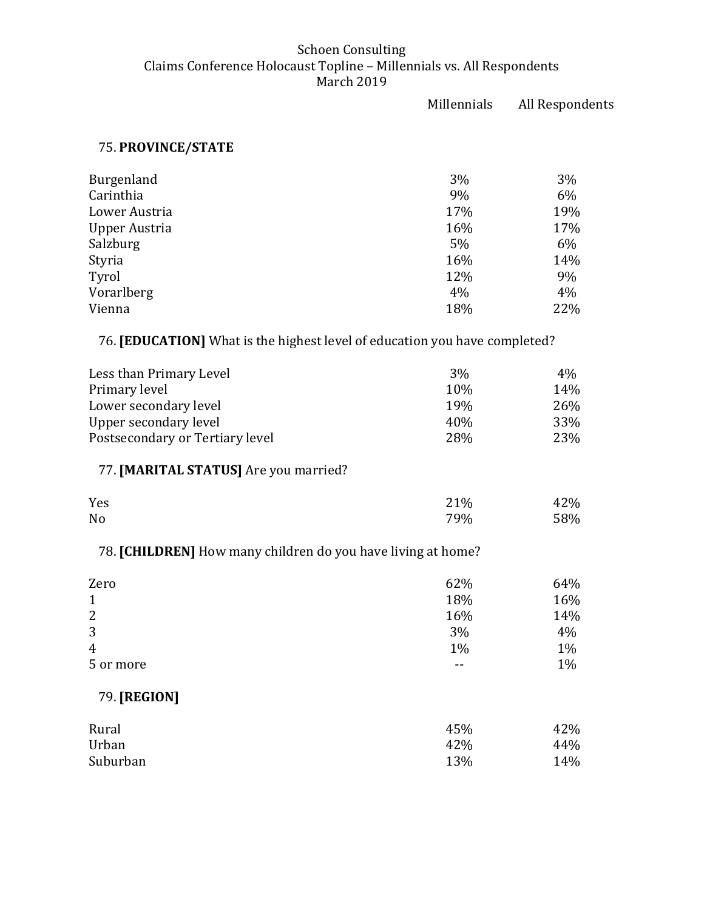|                                                                            | Millennials | All Respondents |
|----------------------------------------------------------------------------|-------------|-----------------|
| 75. PROVINCE/STATE                                                         |             |                 |
| Burgenland                                                                 | 3%          | 3%              |
| Carinthia                                                                  | 9%          | 6%              |
| Lower Austria                                                              | 17%         | 19%             |
| <b>Upper Austria</b>                                                       | 16%         | 17%             |
| Salzburg                                                                   | 5%          | 6%              |
| Styria                                                                     | 16%         | 14%             |
| Tyrol                                                                      | 12%         | 9%              |
| Vorarlberg                                                                 | 4%          | 4%              |
| Vienna                                                                     | 18%         | 22%             |
| 76. [EDUCATION] What is the highest level of education you have completed? |             |                 |
| Less than Primary Level                                                    | 3%          | 4%              |
| Primary level                                                              | 10%         | 14%             |
| Lower secondary level                                                      | 19%         | 26%             |
| <b>Upper secondary level</b>                                               | 40%         | 33%             |
| Postsecondary or Tertiary level                                            | 28%         | 23%             |
| 77. [MARITAL STATUS] Are you married?                                      |             |                 |
| Yes                                                                        | 21%         | 42%             |
| No                                                                         | 79%         | 58%             |
| 78. [CHILDREN] How many children do you have living at home?               |             |                 |
| Zero                                                                       | 62%         | 64%             |
| $\mathbf 1$                                                                | 18%         | 16%             |
| $\overline{c}$                                                             | 16%         | 14%             |
| 3                                                                          | 3%          | 4%              |
| 4                                                                          | 1%          | 1%              |
| 5 or more                                                                  |             | 1%              |
| 79. [REGION]                                                               |             |                 |
| Rural                                                                      | 45%         | 42%             |
| Urban                                                                      | 42%         | 44%             |
| Suburban                                                                   | 13%         | 14%             |